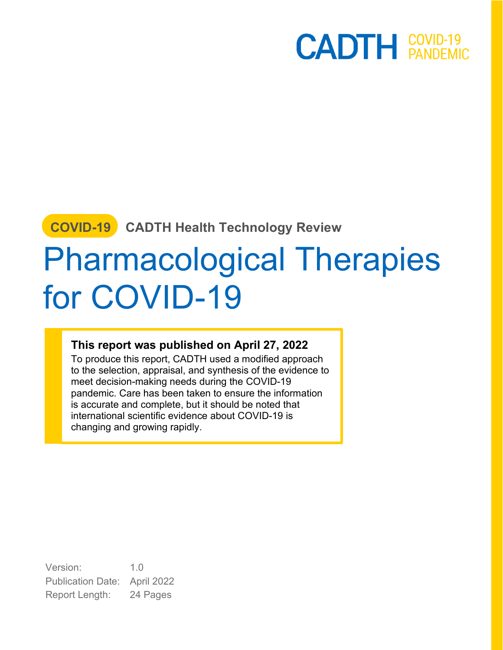### **COVID-19 CADTH Health Technology Review**

# Pharmacological Therapies for COVID-19

#### **This report was published on April 27, 2022**

To produce this report, CADTH used a modified approach to the selection, appraisal, and synthesis of the evidence to meet decision-making needs during the COVID-19 pandemic. Care has been taken to ensure the information is accurate and complete, but it should be noted that international scientific evidence about COVID-19 is changing and growing rapidly.

Version: 1.0 Publication Date: April 2022 Report Length: 24 Pages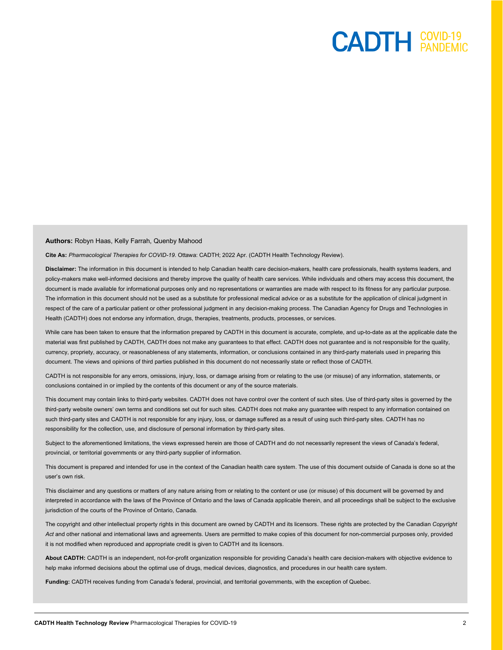#### **Authors:** Robyn Haas, Kelly Farrah, Quenby Mahood

**Cite As:** *Pharmacological Therapies for COVID-19*. Ottawa: CADTH; 2022 Apr. (CADTH Health Technology Review).

**Disclaimer:** The information in this document is intended to help Canadian health care decision-makers, health care professionals, health systems leaders, and policy-makers make well-informed decisions and thereby improve the quality of health care services. While individuals and others may access this document, the document is made available for informational purposes only and no representations or warranties are made with respect to its fitness for any particular purpose. The information in this document should not be used as a substitute for professional medical advice or as a substitute for the application of clinical judgment in respect of the care of a particular patient or other professional judgment in any decision-making process. The Canadian Agency for Drugs and Technologies in Health (CADTH) does not endorse any information, drugs, therapies, treatments, products, processes, or services.

While care has been taken to ensure that the information prepared by CADTH in this document is accurate, complete, and up-to-date as at the applicable date the material was first published by CADTH, CADTH does not make any guarantees to that effect. CADTH does not guarantee and is not responsible for the quality, currency, propriety, accuracy, or reasonableness of any statements, information, or conclusions contained in any third-party materials used in preparing this document. The views and opinions of third parties published in this document do not necessarily state or reflect those of CADTH.

CADTH is not responsible for any errors, omissions, injury, loss, or damage arising from or relating to the use (or misuse) of any information, statements, or conclusions contained in or implied by the contents of this document or any of the source materials.

This document may contain links to third-party websites. CADTH does not have control over the content of such sites. Use of third-party sites is governed by the third-party website owners' own terms and conditions set out for such sites. CADTH does not make any guarantee with respect to any information contained on such third-party sites and CADTH is not responsible for any injury, loss, or damage suffered as a result of using such third-party sites. CADTH has no responsibility for the collection, use, and disclosure of personal information by third-party sites.

Subject to the aforementioned limitations, the views expressed herein are those of CADTH and do not necessarily represent the views of Canada's federal, provincial, or territorial governments or any third-party supplier of information.

This document is prepared and intended for use in the context of the Canadian health care system. The use of this document outside of Canada is done so at the user's own risk.

This disclaimer and any questions or matters of any nature arising from or relating to the content or use (or misuse) of this document will be governed by and interpreted in accordance with the laws of the Province of Ontario and the laws of Canada applicable therein, and all proceedings shall be subject to the exclusive jurisdiction of the courts of the Province of Ontario, Canada.

The copyright and other intellectual property rights in this document are owned by CADTH and its licensors. These rights are protected by the Canadian *Copyright*  Act and other national and international laws and agreements. Users are permitted to make copies of this document for non-commercial purposes only, provided it is not modified when reproduced and appropriate credit is given to CADTH and its licensors.

**About CADTH:** CADTH is an independent, not-for-profit organization responsible for providing Canada's health care decision-makers with objective evidence to help make informed decisions about the optimal use of drugs, medical devices, diagnostics, and procedures in our health care system.

**Funding:** CADTH receives funding from Canada's federal, provincial, and territorial governments, with the exception of Quebec.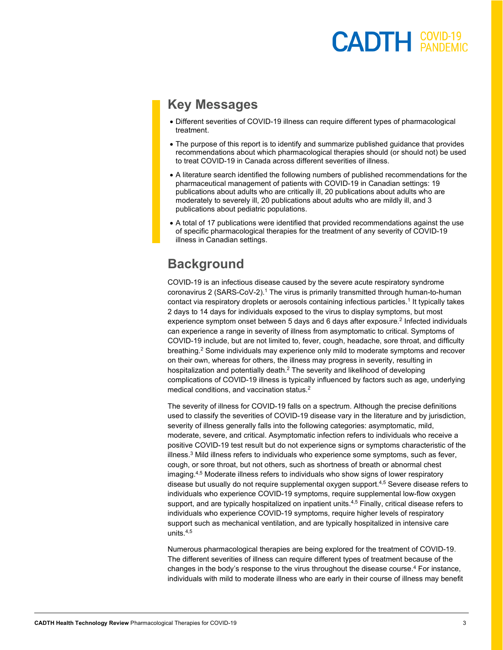### $\mathsf{CADTH}$   $\overset{\mathsf{COVID-19}}{\mathsf{PANDFMI}}$

### **Key Messages**

- Different severities of COVID-19 illness can require different types of pharmacological treatment.
- The purpose of this report is to identify and summarize published guidance that provides recommendations about which pharmacological therapies should (or should not) be used to treat COVID-19 in Canada across different severities of illness.
- A literature search identified the following numbers of published recommendations for the pharmaceutical management of patients with COVID-19 in Canadian settings: 19 publications about adults who are critically ill, 20 publications about adults who are moderately to severely ill, 20 publications about adults who are mildly ill, and 3 publications about pediatric populations.
- A total of 17 publications were identified that provided recommendations against the use of specific pharmacological therapies for the treatment of any severity of COVID-19 illness in Canadian settings.

### **Background**

COVID-19 is an infectious disease caused by the severe acute respiratory syndrome coronavirus 2 (SARS-CoV-2). <sup>1</sup> The virus is primarily transmitted through human-to-human contact via respiratory droplets or aerosols containing infectious particles. <sup>1</sup> It typically takes 2 days to 14 days for individuals exposed to the virus to display symptoms, but most experience symptom onset between 5 days and 6 days after exposure. <sup>2</sup> Infected individuals can experience a range in severity of illness from asymptomatic to critical. Symptoms of COVID-19 include, but are not limited to, fever, cough, headache, sore throat, and difficulty breathing.<sup>2</sup> Some individuals may experience only mild to moderate symptoms and recover on their own, whereas for others, the illness may progress in severity, resulting in hospitalization and potentially death. $^2$  The severity and likelihood of developing complications of COVID-19 illness is typically influenced by factors such as age, underlying medical conditions, and vaccination status.<sup>2</sup>

The severity of illness for COVID-19 falls on a spectrum. Although the precise definitions used to classify the severities of COVID-19 disease vary in the literature and by jurisdiction, severity of illness generally falls into the following categories: asymptomatic, mild, moderate, severe, and critical. Asymptomatic infection refers to individuals who receive a positive COVID-19 test result but do not experience signs or symptoms characteristic of the illness. <sup>3</sup> Mild illness refers to individuals who experience some symptoms, such as fever, cough, or sore throat, but not others, such as shortness of breath or abnormal chest imaging.<sup>4,5</sup> Moderate illness refers to individuals who show signs of lower respiratory disease but usually do not require supplemental oxygen support.4,5 Severe disease refers to individuals who experience COVID-19 symptoms, require supplemental low-flow oxygen support, and are typically hospitalized on inpatient units.<sup>4,5</sup> Finally, critical disease refers to individuals who experience COVID-19 symptoms, require higher levels of respiratory support such as mechanical ventilation, and are typically hospitalized in intensive care units. 4,5

Numerous pharmacological therapies are being explored for the treatment of COVID-19. The different severities of illness can require different types of treatment because of the changes in the body's response to the virus throughout the disease course.<sup>4</sup> For instance, individuals with mild to moderate illness who are early in their course of illness may benefit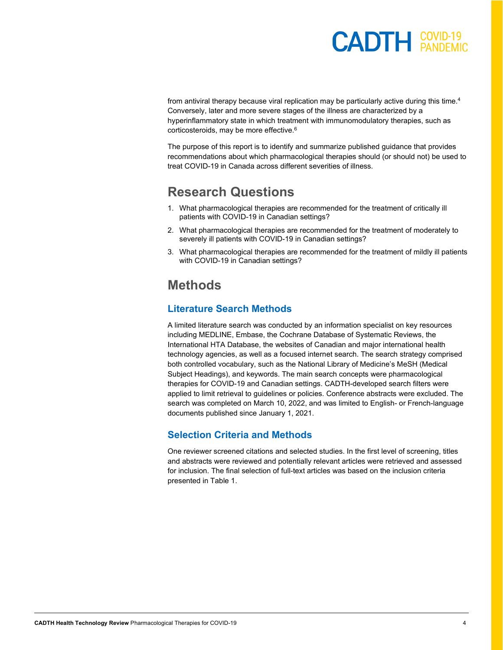### **COVID-19**

from antiviral therapy because viral replication may be particularly active during this time.<sup>4</sup> Conversely, later and more severe stages of the illness are characterized by a hyperinflammatory state in which treatment with immunomodulatory therapies, such as corticosteroids, may be more effective.6

The purpose of this report is to identify and summarize published guidance that provides recommendations about which pharmacological therapies should (or should not) be used to treat COVID-19 in Canada across different severities of illness.

### **Research Questions**

- 1. What pharmacological therapies are recommended for the treatment of critically ill patients with COVID-19 in Canadian settings?
- 2. What pharmacological therapies are recommended for the treatment of moderately to severely ill patients with COVID-19 in Canadian settings?
- 3. What pharmacological therapies are recommended for the treatment of mildly ill patients with COVID-19 in Canadian settings?

### **Methods**

#### **Literature Search Methods**

A limited literature search was conducted by an information specialist on key resources including MEDLINE, Embase, the Cochrane Database of Systematic Reviews, the International HTA Database, the websites of Canadian and major international health technology agencies, as well as a focused internet search. The search strategy comprised both controlled vocabulary, such as the National Library of Medicine's MeSH (Medical Subject Headings), and keywords. The main search concepts were pharmacological therapies for COVID-19 and Canadian settings. CADTH-developed search filters were applied to limit retrieval to guidelines or policies. Conference abstracts were excluded. The search was completed on March 10, 2022, and was limited to English- or French-language documents published since January 1, 2021.

#### **Selection Criteria and Methods**

One reviewer screened citations and selected studies. In the first level of screening, titles and abstracts were reviewed and potentially relevant articles were retrieved and assessed for inclusion. The final selection of full-text articles was based on the inclusion criteria presented in [Table 1.](#page-4-0)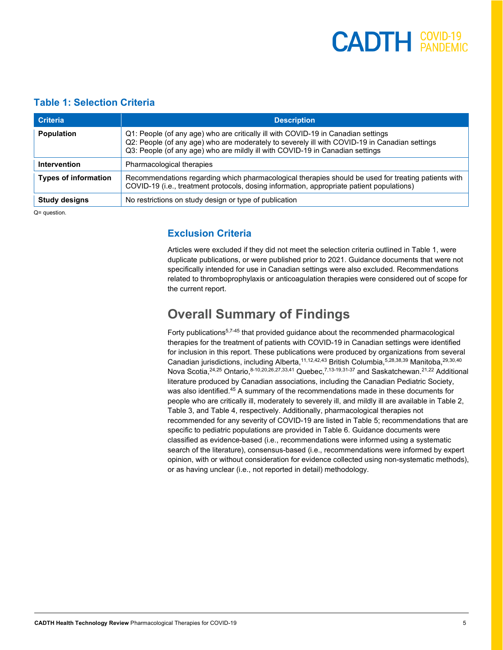#### <span id="page-4-0"></span>**Table 1: Selection Criteria**

| <b>Criteria</b>                                                         | <b>Description</b>                                                                                                                                                                                                                                                  |
|-------------------------------------------------------------------------|---------------------------------------------------------------------------------------------------------------------------------------------------------------------------------------------------------------------------------------------------------------------|
| <b>Population</b>                                                       | Q1: People (of any age) who are critically ill with COVID-19 in Canadian settings<br>Q2: People (of any age) who are moderately to severely ill with COVID-19 in Canadian settings<br>Q3: People (of any age) who are mildly ill with COVID-19 in Canadian settings |
| Intervention                                                            | Pharmacological therapies                                                                                                                                                                                                                                           |
| <b>Types of information</b>                                             | Recommendations regarding which pharmacological therapies should be used for treating patients with<br>COVID-19 (i.e., treatment protocols, dosing information, appropriate patient populations)                                                                    |
| <b>Study designs</b>                                                    | No restrictions on study design or type of publication                                                                                                                                                                                                              |
| $\bigcap$ = $\bigcup$ $\bigcup$ $\bigcup$ $\bigcup$ $\bigcup$ $\bigcup$ |                                                                                                                                                                                                                                                                     |

Q= question.

#### **Exclusion Criteria**

Articles were excluded if they did not meet the selection criteria outlined in [Table 1,](#page-4-0) were duplicate publications, or were published prior to 2021. Guidance documents that were not specifically intended for use in Canadian settings were also excluded. Recommendations related to thromboprophylaxis or anticoagulation therapies were considered out of scope for the current report.

### **Overall Summary of Findings**

Forty publications<sup>5,7-45</sup> that provided guidance about the recommended pharmacological therapies for the treatment of patients with COVID-19 in Canadian settings were identified for inclusion in this report. These publications were produced by organizations from several Canadian jurisdictions, including Alberta,<sup>11,12,42,43</sup> British Columbia,<sup>5,28,38,39</sup> Manitoba,<sup>29,30,40</sup> Nova Scotia,<sup>24,25</sup> Ontario,<sup>8-10,20,26,27,33,41</sup> Quebec,<sup>7,13-19,31-37</sup> and Saskatchewan.<sup>21,22</sup> Additional literature produced by Canadian associations, including the Canadian Pediatric Society, was also identified. <sup>45</sup> A summary of the recommendations made in these documents for people who are critically ill, moderately to severely ill, and mildly ill are available in [Table 2,](#page-5-0)  [Table 3,](#page-8-0) and [Table 4,](#page-13-0) respectively. Additionally, pharmacological therapies not recommended for any severity of COVID-19 are listed in [Table 5;](#page-17-0) recommendations that are specific to pediatric populations are provided in [Table 6.](#page-19-0) Guidance documents were classified as evidence-based (i.e., recommendations were informed using a systematic search of the literature), consensus-based (i.e., recommendations were informed by expert opinion, with or without consideration for evidence collected using non-systematic methods), or as having unclear (i.e., not reported in detail) methodology.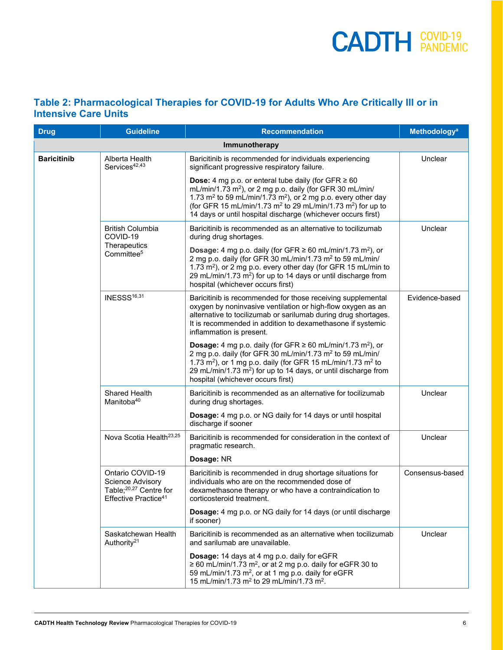#### <span id="page-5-0"></span>**Table 2: Pharmacological Therapies for COVID-19 for Adults Who Are Critically Ill or in Intensive Care Units**

| <b>Drug</b>        | <b>Guideline</b>                                                                                               | <b>Recommendation</b>                                                                                                                                                                                                                                                                                                                                                        | <b>Methodology<sup>a</sup></b> |
|--------------------|----------------------------------------------------------------------------------------------------------------|------------------------------------------------------------------------------------------------------------------------------------------------------------------------------------------------------------------------------------------------------------------------------------------------------------------------------------------------------------------------------|--------------------------------|
|                    |                                                                                                                | Immunotherapy                                                                                                                                                                                                                                                                                                                                                                |                                |
| <b>Baricitinib</b> | Alberta Health<br>Services <sup>42,43</sup>                                                                    | Baricitinib is recommended for individuals experiencing<br>significant progressive respiratory failure.                                                                                                                                                                                                                                                                      | Unclear                        |
|                    |                                                                                                                | <b>Dose:</b> 4 mg p.o. or enteral tube daily (for GFR $\geq 60$<br>mL/min/1.73 m <sup>2</sup> ), or 2 mg p.o. daily (for GFR 30 mL/min/<br>1.73 $m2$ to 59 mL/min/1.73 m <sup>2</sup> ), or 2 mg p.o. every other day<br>(for GFR 15 mL/min/1.73 m <sup>2</sup> to 29 mL/min/1.73 m <sup>2</sup> ) for up to<br>14 days or until hospital discharge (whichever occurs first) |                                |
|                    | <b>British Columbia</b><br>COVID-19                                                                            | Baricitinib is recommended as an alternative to tocilizumab<br>during drug shortages.                                                                                                                                                                                                                                                                                        | Unclear                        |
|                    | Therapeutics<br>Committee <sup>5</sup>                                                                         | <b>Dosage:</b> 4 mg p.o. daily (for GFR $\geq$ 60 mL/min/1.73 m <sup>2</sup> ), or<br>2 mg p.o. daily (for GFR 30 mL/min/1.73 m <sup>2</sup> to 59 mL/min/<br>1.73 m <sup>2</sup> ), or 2 mg p.o. every other day (for GFR 15 mL/min to<br>29 mL/min/1.73 m <sup>2</sup> ) for up to 14 days or until discharge from<br>hospital (whichever occurs first)                    |                                |
|                    | INESSS <sup>16,31</sup>                                                                                        | Baricitinib is recommended for those receiving supplemental<br>oxygen by noninvasive ventilation or high-flow oxygen as an<br>alternative to tocilizumab or sarilumab during drug shortages.<br>It is recommended in addition to dexamethasone if systemic<br>inflammation is present.                                                                                       | Evidence-based                 |
|                    |                                                                                                                | <b>Dosage:</b> 4 mg p.o. daily (for GFR $\geq$ 60 mL/min/1.73 m <sup>2</sup> ), or<br>2 mg p.o. daily (for GFR 30 mL/min/1.73 m <sup>2</sup> to 59 mL/min/<br>1.73 m <sup>2</sup> ), or 1 mg p.o. daily (for GFR 15 mL/min/1.73 m <sup>2</sup> to<br>29 mL/min/1.73 m <sup>2</sup> ) for up to 14 days, or until discharge from<br>hospital (whichever occurs first)         |                                |
|                    | Shared Health<br>Manitoba <sup>40</sup>                                                                        | Baricitinib is recommended as an alternative for tocilizumab<br>during drug shortages.                                                                                                                                                                                                                                                                                       | Unclear                        |
|                    |                                                                                                                | Dosage: 4 mg p.o. or NG daily for 14 days or until hospital<br>discharge if sooner                                                                                                                                                                                                                                                                                           |                                |
|                    | Nova Scotia Health <sup>23,25</sup>                                                                            | Baricitinib is recommended for consideration in the context of<br>pragmatic research.                                                                                                                                                                                                                                                                                        | Unclear                        |
|                    |                                                                                                                | Dosage: NR                                                                                                                                                                                                                                                                                                                                                                   |                                |
|                    | Ontario COVID-19<br>Science Advisory<br>Table; <sup>20,27</sup> Centre for<br>Effective Practice <sup>41</sup> | Baricitinib is recommended in drug shortage situations for<br>individuals who are on the recommended dose of<br>dexamethasone therapy or who have a contraindication to<br>corticosteroid treatment.                                                                                                                                                                         | Consensus-based                |
|                    |                                                                                                                | Dosage: 4 mg p.o. or NG daily for 14 days (or until discharge<br>if sooner)                                                                                                                                                                                                                                                                                                  |                                |
|                    | Saskatchewan Health<br>Authority <sup>21</sup>                                                                 | Baricitinib is recommended as an alternative when tocilizumab<br>and sarilumab are unavailable.                                                                                                                                                                                                                                                                              | Unclear                        |
|                    |                                                                                                                | Dosage: 14 days at 4 mg p.o. daily for eGFR<br>$\geq$ 60 mL/min/1.73 m <sup>2</sup> , or at 2 mg p.o. daily for eGFR 30 to<br>59 mL/min/1.73 m <sup>2</sup> , or at 1 mg p.o. daily for eGFR<br>15 mL/min/1.73 m <sup>2</sup> to 29 mL/min/1.73 m <sup>2</sup> .                                                                                                             |                                |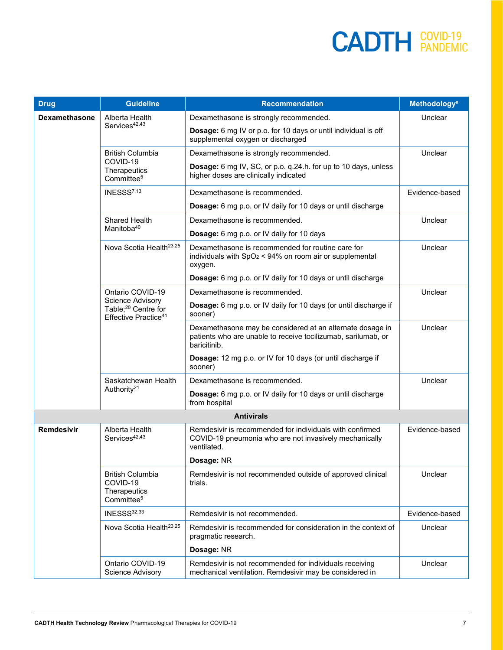| <b>Drug</b>          | <b>Guideline</b>                                                                        | <b>Recommendation</b>                                                                                                                      | <b>Methodology<sup>a</sup></b> |
|----------------------|-----------------------------------------------------------------------------------------|--------------------------------------------------------------------------------------------------------------------------------------------|--------------------------------|
| <b>Dexamethasone</b> | Alberta Health                                                                          | Dexamethasone is strongly recommended.                                                                                                     | Unclear                        |
|                      | Services <sup>42,43</sup>                                                               | Dosage: 6 mg IV or p.o. for 10 days or until individual is off<br>supplemental oxygen or discharged                                        |                                |
|                      | <b>British Columbia</b>                                                                 | Dexamethasone is strongly recommended.                                                                                                     | Unclear                        |
|                      | COVID-19<br>Therapeutics<br>Committee <sup>5</sup>                                      | Dosage: 6 mg IV, SC, or p.o. q.24.h. for up to 10 days, unless<br>higher doses are clinically indicated                                    |                                |
|                      | INESSS <sup>7,13</sup>                                                                  | Dexamethasone is recommended.                                                                                                              | Evidence-based                 |
|                      |                                                                                         | Dosage: 6 mg p.o. or IV daily for 10 days or until discharge                                                                               |                                |
|                      | Shared Health                                                                           | Dexamethasone is recommended.                                                                                                              | Unclear                        |
|                      | Manitoba <sup>40</sup>                                                                  | Dosage: 6 mg p.o. or IV daily for 10 days                                                                                                  |                                |
|                      | Nova Scotia Health <sup>23,25</sup>                                                     | Dexamethasone is recommended for routine care for<br>individuals with $SpO2 < 94%$ on room air or supplemental<br>oxygen.                  | Unclear                        |
|                      |                                                                                         | Dosage: 6 mg p.o. or IV daily for 10 days or until discharge                                                                               |                                |
|                      | Ontario COVID-19                                                                        | Dexamethasone is recommended.                                                                                                              | Unclear                        |
|                      | Science Advisory<br>Table; <sup>20</sup> Centre for<br>Effective Practice <sup>41</sup> | Dosage: 6 mg p.o. or IV daily for 10 days (or until discharge if<br>sooner)                                                                |                                |
|                      |                                                                                         | Dexamethasone may be considered at an alternate dosage in<br>patients who are unable to receive tocilizumab, sarilumab, or<br>baricitinib. | Unclear                        |
|                      |                                                                                         | Dosage: 12 mg p.o. or IV for 10 days (or until discharge if<br>sooner)                                                                     |                                |
|                      | Saskatchewan Health                                                                     | Dexamethasone is recommended.                                                                                                              | Unclear                        |
|                      | Authority <sup>21</sup>                                                                 | Dosage: 6 mg p.o. or IV daily for 10 days or until discharge<br>from hospital                                                              |                                |
|                      |                                                                                         | <b>Antivirals</b>                                                                                                                          |                                |
| <b>Remdesivir</b>    | Alberta Health<br>Services <sup>42,43</sup>                                             | Remdesivir is recommended for individuals with confirmed<br>COVID-19 pneumonia who are not invasively mechanically<br>ventilated.          | Evidence-based                 |
|                      |                                                                                         | Dosage: NR                                                                                                                                 |                                |
|                      | <b>British Columbia</b><br>COVID-19<br>Therapeutics<br>Committee <sup>5</sup>           | Remdesivir is not recommended outside of approved clinical<br>trials.                                                                      | Unclear                        |
|                      | INESSS32,33                                                                             | Remdesivir is not recommended.                                                                                                             | Evidence-based                 |
|                      | Nova Scotia Health <sup>23,25</sup>                                                     | Remdesivir is recommended for consideration in the context of<br>pragmatic research.                                                       | Unclear                        |
|                      |                                                                                         | Dosage: NR                                                                                                                                 |                                |
|                      | Ontario COVID-19<br><b>Science Advisory</b>                                             | Remdesivir is not recommended for individuals receiving<br>mechanical ventilation. Remdesivir may be considered in                         | Unclear                        |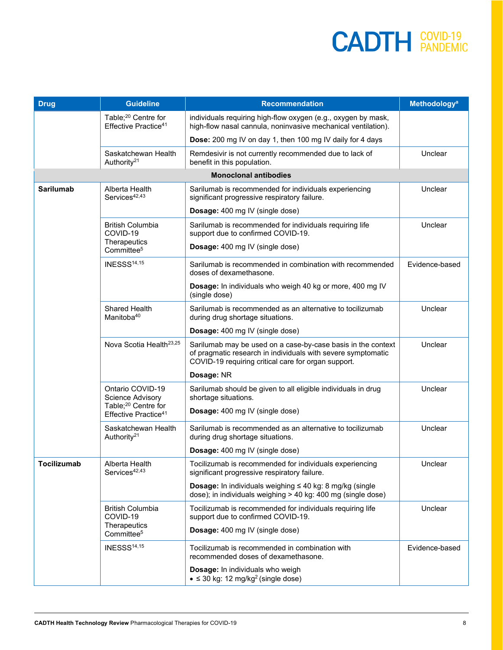| <b>Drug</b>      | <b>Guideline</b>                                                               | <b>Recommendation</b>                                                                                                                                                               | <b>Methodology<sup>a</sup></b> |
|------------------|--------------------------------------------------------------------------------|-------------------------------------------------------------------------------------------------------------------------------------------------------------------------------------|--------------------------------|
|                  | Table; <sup>20</sup> Centre for<br>Effective Practice <sup>41</sup>            | individuals requiring high-flow oxygen (e.g., oxygen by mask,<br>high-flow nasal cannula, noninvasive mechanical ventilation).                                                      |                                |
|                  |                                                                                | Dose: 200 mg IV on day 1, then 100 mg IV daily for 4 days                                                                                                                           |                                |
|                  | Saskatchewan Health<br>Authority <sup>21</sup>                                 | Remdesivir is not currently recommended due to lack of<br>benefit in this population.                                                                                               | Unclear                        |
|                  |                                                                                | <b>Monoclonal antibodies</b>                                                                                                                                                        |                                |
| <b>Sarilumab</b> | Alberta Health<br>Services <sup>42,43</sup>                                    | Sarilumab is recommended for individuals experiencing<br>significant progressive respiratory failure.                                                                               | Unclear                        |
|                  |                                                                                | <b>Dosage:</b> 400 mg IV (single dose)                                                                                                                                              |                                |
|                  | <b>British Columbia</b><br>COVID-19<br>Therapeutics                            | Sarilumab is recommended for individuals requiring life<br>support due to confirmed COVID-19.                                                                                       | Unclear                        |
|                  | Committee <sup>5</sup>                                                         | Dosage: 400 mg IV (single dose)                                                                                                                                                     |                                |
|                  | INESSS <sup>14,15</sup>                                                        | Sarilumab is recommended in combination with recommended<br>doses of dexamethasone.                                                                                                 | Evidence-based                 |
|                  |                                                                                | Dosage: In individuals who weigh 40 kg or more, 400 mg IV<br>(single dose)                                                                                                          |                                |
|                  | Shared Health<br>Manitoba <sup>40</sup>                                        | Sarilumab is recommended as an alternative to tocilizumab<br>during drug shortage situations.                                                                                       | Unclear                        |
|                  |                                                                                | <b>Dosage:</b> 400 mg IV (single dose)                                                                                                                                              |                                |
|                  | Nova Scotia Health <sup>23,25</sup>                                            | Sarilumab may be used on a case-by-case basis in the context<br>of pragmatic research in individuals with severe symptomatic<br>COVID-19 requiring critical care for organ support. | Unclear                        |
|                  |                                                                                | Dosage: NR                                                                                                                                                                          |                                |
|                  | Ontario COVID-19<br><b>Science Advisory</b><br>Table; <sup>20</sup> Centre for | Sarilumab should be given to all eligible individuals in drug<br>shortage situations.                                                                                               | Unclear                        |
|                  | Effective Practice <sup>41</sup>                                               | Dosage: 400 mg IV (single dose)                                                                                                                                                     |                                |
|                  | Saskatchewan Health<br>Authority <sup>21</sup>                                 | Sarilumab is recommended as an alternative to tocilizumab<br>during drug shortage situations.                                                                                       | Unclear                        |
|                  |                                                                                | Dosage: 400 mg IV (single dose)                                                                                                                                                     |                                |
| Tocilizumab      | Alberta Health<br>Services <sup>42,43</sup>                                    | Tocilizumab is recommended for individuals experiencing<br>significant progressive respiratory failure.                                                                             | Unclear                        |
|                  |                                                                                | <b>Dosage:</b> In individuals weighing $\leq 40$ kg: 8 mg/kg (single<br>dose); in individuals weighing > 40 kg: 400 mg (single dose)                                                |                                |
|                  | <b>British Columbia</b><br>COVID-19                                            | Tocilizumab is recommended for individuals requiring life<br>support due to confirmed COVID-19.                                                                                     | Unclear                        |
|                  | Therapeutics<br>Committee <sup>5</sup>                                         | Dosage: 400 mg IV (single dose)                                                                                                                                                     |                                |
|                  | INESSS <sup>14,15</sup>                                                        | Tocilizumab is recommended in combination with<br>recommended doses of dexamethasone.                                                                                               | Evidence-based                 |
|                  |                                                                                | Dosage: In individuals who weigh<br>$\bullet \leq 30$ kg: 12 mg/kg <sup>2</sup> (single dose)                                                                                       |                                |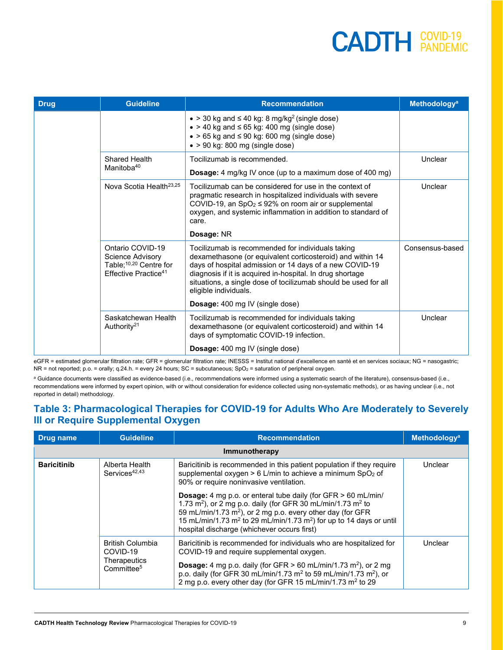| <b>Drug</b> | <b>Guideline</b>                                                                                                      | <b>Recommendation</b>                                                                                                                                                                                                                                                                                                               | <b>Methodology<sup>a</sup></b> |
|-------------|-----------------------------------------------------------------------------------------------------------------------|-------------------------------------------------------------------------------------------------------------------------------------------------------------------------------------------------------------------------------------------------------------------------------------------------------------------------------------|--------------------------------|
|             |                                                                                                                       | $\bullet$ > 30 kg and $\leq$ 40 kg: 8 mg/kg <sup>2</sup> (single dose)<br>$\bullet$ > 40 kg and $\leq$ 65 kg: 400 mg (single dose)<br>$\bullet$ > 65 kg and $\leq$ 90 kg: 600 mg (single dose)<br>$\bullet$ > 90 kg: 800 mg (single dose)                                                                                           |                                |
|             | Shared Health<br>Manitoba <sup>40</sup>                                                                               | Tocilizumab is recommended.<br><b>Dosage:</b> 4 mg/kg IV once (up to a maximum dose of 400 mg)                                                                                                                                                                                                                                      | Unclear                        |
|             | Nova Scotia Health <sup>23,25</sup>                                                                                   | Tocilizumab can be considered for use in the context of<br>pragmatic research in hospitalized individuals with severe<br>COVID-19, an SpO <sub>2</sub> $\leq$ 92% on room air or supplemental<br>oxygen, and systemic inflammation in addition to standard of<br>care.                                                              | Unclear                        |
|             |                                                                                                                       | Dosage: NR                                                                                                                                                                                                                                                                                                                          |                                |
|             | Ontario COVID-19<br>Science Advisory<br>Table; <sup>10,20</sup> Centre for<br><b>Effective Practice</b> <sup>41</sup> | Tocilizumab is recommended for individuals taking<br>dexamethasone (or equivalent corticosteroid) and within 14<br>days of hospital admission or 14 days of a new COVID-19<br>diagnosis if it is acquired in-hospital. In drug shortage<br>situations, a single dose of tocilizumab should be used for all<br>eligible individuals. | Consensus-based                |
|             |                                                                                                                       | Dosage: 400 mg IV (single dose)                                                                                                                                                                                                                                                                                                     |                                |
|             | Saskatchewan Health<br>Authority <sup>21</sup>                                                                        | Tocilizumab is recommended for individuals taking<br>dexamethasone (or equivalent corticosteroid) and within 14<br>days of symptomatic COVID-19 infection.                                                                                                                                                                          | Unclear                        |
|             |                                                                                                                       | <b>Dosage:</b> 400 mg IV (single dose)                                                                                                                                                                                                                                                                                              |                                |

eGFR = estimated glomerular filtration rate; GFR = glomerular filtration rate; INESSS = Institut national d'excellence en santé et en services sociaux; NG = nasogastric;  $NR = not reported; p.o. = orally; q.24.h. = every 24 hours; SC = subcutaneous; SpO<sub>2</sub> = saturation of peripheral oxygen.$ 

a Guidance documents were classified as evidence-based (i.e., recommendations were informed using a systematic search of the literature), consensus-based (i.e., recommendations were informed by expert opinion, with or without consideration for evidence collected using non-systematic methods), or as having unclear (i.e., not reported in detail) methodology.

#### <span id="page-8-0"></span>**Table 3: Pharmacological Therapies for COVID-19 for Adults Who Are Moderately to Severely Ill or Require Supplemental Oxygen**

| Drug name          | <b>Guideline</b>                                                              | <b>Recommendation</b>                                                                                                                                                                                                                                                                                                                                                               | <b>Methodology<sup>a</sup></b> |
|--------------------|-------------------------------------------------------------------------------|-------------------------------------------------------------------------------------------------------------------------------------------------------------------------------------------------------------------------------------------------------------------------------------------------------------------------------------------------------------------------------------|--------------------------------|
|                    |                                                                               | Immunotherapy                                                                                                                                                                                                                                                                                                                                                                       |                                |
| <b>Baricitinib</b> | Alberta Health<br>Services <sup>42,43</sup>                                   | Baricitinib is recommended in this patient population if they require<br>supplemental oxygen > 6 L/min to achieve a minimum SpO2 of<br>90% or require noninvasive ventilation.                                                                                                                                                                                                      | Unclear                        |
|                    |                                                                               | <b>Dosage:</b> 4 mg p.o. or enteral tube daily (for GFR > 60 mL/min/<br>1.73 m <sup>2</sup> ), or 2 mg p.o. daily (for GFR 30 mL/min/1.73 m <sup>2</sup> to<br>59 mL/min/1.73 m <sup>2</sup> ), or 2 mg p.o. every other day (for GFR<br>15 mL/min/1.73 m <sup>2</sup> to 29 mL/min/1.73 m <sup>2</sup> ) for up to 14 days or until<br>hospital discharge (whichever occurs first) |                                |
|                    | <b>British Columbia</b><br>COVID-19<br>Therapeutics<br>Committee <sup>5</sup> | Baricitinib is recommended for individuals who are hospitalized for<br>COVID-19 and require supplemental oxygen.<br><b>Dosage:</b> 4 mg p.o. daily (for GFR $> 60$ mL/min/1.73 m <sup>2</sup> ), or 2 mg<br>p.o. daily (for GFR 30 mL/min/1.73 m <sup>2</sup> to 59 mL/min/1.73 m <sup>2</sup> ), or<br>2 mg p.o. every other day (for GFR 15 mL/min/1.73 m <sup>2</sup> to 29      | Unclear                        |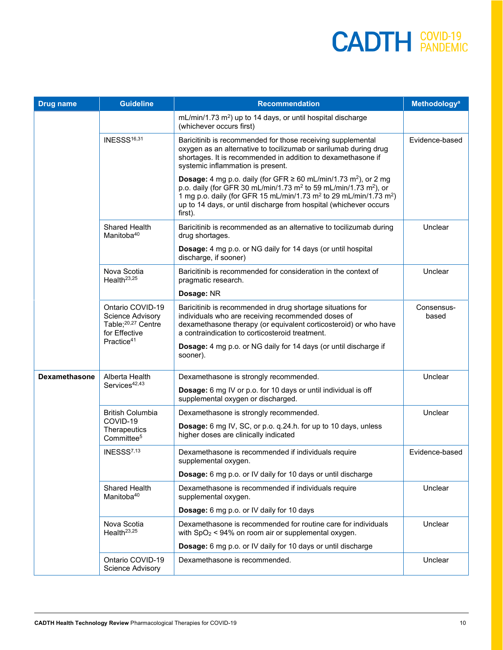| <b>Drug name</b>     | <b>Guideline</b>                                                                               | <b>Recommendation</b>                                                                                                                                                                                                                                                                                                                                            | <b>Methodology<sup>a</sup></b> |
|----------------------|------------------------------------------------------------------------------------------------|------------------------------------------------------------------------------------------------------------------------------------------------------------------------------------------------------------------------------------------------------------------------------------------------------------------------------------------------------------------|--------------------------------|
|                      |                                                                                                | mL/min/1.73 m <sup>2</sup> ) up to 14 days, or until hospital discharge<br>(whichever occurs first)                                                                                                                                                                                                                                                              |                                |
|                      | INESSS <sup>16,31</sup>                                                                        | Baricitinib is recommended for those receiving supplemental<br>oxygen as an alternative to tocilizumab or sarilumab during drug<br>shortages. It is recommended in addition to dexamethasone if<br>systemic inflammation is present.                                                                                                                             | Evidence-based                 |
|                      |                                                                                                | <b>Dosage:</b> 4 mg p.o. daily (for GFR $\geq$ 60 mL/min/1.73 m <sup>2</sup> ), or 2 mg<br>p.o. daily (for GFR 30 mL/min/1.73 m <sup>2</sup> to 59 mL/min/1.73 m <sup>2</sup> ), or<br>1 mg p.o. daily (for GFR 15 mL/min/1.73 m <sup>2</sup> to 29 mL/min/1.73 m <sup>2</sup> )<br>up to 14 days, or until discharge from hospital (whichever occurs<br>first). |                                |
|                      | Shared Health<br>Manitoba <sup>40</sup>                                                        | Baricitinib is recommended as an alternative to tocilizumab during<br>drug shortages.                                                                                                                                                                                                                                                                            | Unclear                        |
|                      |                                                                                                | Dosage: 4 mg p.o. or NG daily for 14 days (or until hospital<br>discharge, if sooner)                                                                                                                                                                                                                                                                            |                                |
|                      | Nova Scotia<br>Health <sup>23,25</sup>                                                         | Baricitinib is recommended for consideration in the context of<br>pragmatic research.                                                                                                                                                                                                                                                                            | Unclear                        |
|                      |                                                                                                | Dosage: NR                                                                                                                                                                                                                                                                                                                                                       |                                |
|                      | Ontario COVID-19<br><b>Science Advisory</b><br>Table; <sup>20,27</sup> Centre<br>for Effective | Baricitinib is recommended in drug shortage situations for<br>individuals who are receiving recommended doses of<br>dexamethasone therapy (or equivalent corticosteroid) or who have<br>a contraindication to corticosteroid treatment.                                                                                                                          | Consensus-<br>based            |
|                      | Practice <sup>41</sup>                                                                         | Dosage: 4 mg p.o. or NG daily for 14 days (or until discharge if<br>sooner).                                                                                                                                                                                                                                                                                     |                                |
| <b>Dexamethasone</b> | Alberta Health                                                                                 | Dexamethasone is strongly recommended.                                                                                                                                                                                                                                                                                                                           | Unclear                        |
|                      | Services <sup>42,43</sup>                                                                      | Dosage: 6 mg IV or p.o. for 10 days or until individual is off<br>supplemental oxygen or discharged.                                                                                                                                                                                                                                                             |                                |
|                      | <b>British Columbia</b>                                                                        | Dexamethasone is strongly recommended.                                                                                                                                                                                                                                                                                                                           | Unclear                        |
|                      | COVID-19<br>Therapeutics<br>Committee <sup>5</sup>                                             | Dosage: 6 mg IV, SC, or p.o. q.24.h. for up to 10 days, unless<br>higher doses are clinically indicated                                                                                                                                                                                                                                                          |                                |
|                      | INESSS <sup>7,13</sup>                                                                         | Dexamethasone is recommended if individuals require<br>supplemental oxygen.                                                                                                                                                                                                                                                                                      | Evidence-based                 |
|                      |                                                                                                | Dosage: 6 mg p.o. or IV daily for 10 days or until discharge                                                                                                                                                                                                                                                                                                     |                                |
|                      | <b>Shared Health</b><br>Manitoba <sup>40</sup>                                                 | Dexamethasone is recommended if individuals require<br>supplemental oxygen.                                                                                                                                                                                                                                                                                      | Unclear                        |
|                      |                                                                                                | Dosage: 6 mg p.o. or IV daily for 10 days                                                                                                                                                                                                                                                                                                                        |                                |
|                      | Nova Scotia<br>Health <sup>23,25</sup>                                                         | Dexamethasone is recommended for routine care for individuals<br>with $SpO2 < 94%$ on room air or supplemental oxygen.                                                                                                                                                                                                                                           | Unclear                        |
|                      |                                                                                                | Dosage: 6 mg p.o. or IV daily for 10 days or until discharge                                                                                                                                                                                                                                                                                                     |                                |
|                      | Ontario COVID-19<br>Science Advisory                                                           | Dexamethasone is recommended.                                                                                                                                                                                                                                                                                                                                    | Unclear                        |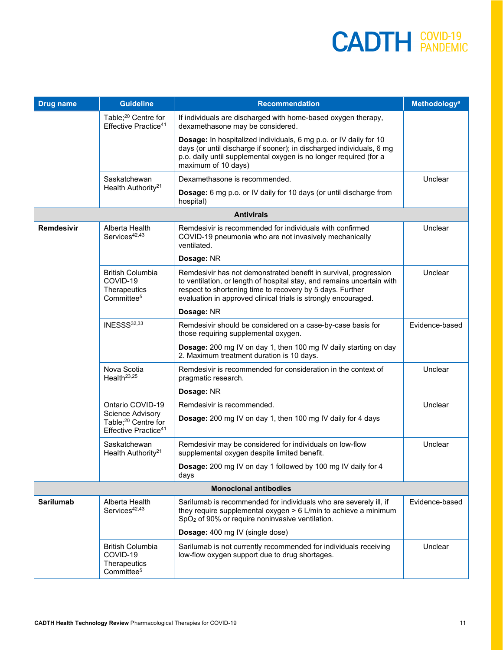| <b>Drug name</b> | <b>Guideline</b>                                                                        | <b>Recommendation</b>                                                                                                                                                                                                                                                     | <b>Methodology<sup>a</sup></b> |
|------------------|-----------------------------------------------------------------------------------------|---------------------------------------------------------------------------------------------------------------------------------------------------------------------------------------------------------------------------------------------------------------------------|--------------------------------|
|                  | Table; <sup>20</sup> Centre for<br>Effective Practice <sup>41</sup>                     | If individuals are discharged with home-based oxygen therapy,<br>dexamethasone may be considered.                                                                                                                                                                         |                                |
|                  |                                                                                         | Dosage: In hospitalized individuals, 6 mg p.o. or IV daily for 10<br>days (or until discharge if sooner); in discharged individuals, 6 mg<br>p.o. daily until supplemental oxygen is no longer required (for a<br>maximum of 10 days)                                     |                                |
|                  | Saskatchewan                                                                            | Dexamethasone is recommended.                                                                                                                                                                                                                                             | Unclear                        |
|                  | Health Authority <sup>21</sup>                                                          | Dosage: 6 mg p.o. or IV daily for 10 days (or until discharge from<br>hospital)                                                                                                                                                                                           |                                |
|                  |                                                                                         | <b>Antivirals</b>                                                                                                                                                                                                                                                         |                                |
| Remdesivir       | Alberta Health<br>Services <sup>42,43</sup>                                             | Remdesivir is recommended for individuals with confirmed<br>COVID-19 pneumonia who are not invasively mechanically<br>ventilated.                                                                                                                                         | Unclear                        |
|                  |                                                                                         | Dosage: NR                                                                                                                                                                                                                                                                |                                |
|                  | <b>British Columbia</b><br>COVID-19<br>Therapeutics<br>Committee <sup>5</sup>           | Remdesivir has not demonstrated benefit in survival, progression<br>to ventilation, or length of hospital stay, and remains uncertain with<br>respect to shortening time to recovery by 5 days. Further<br>evaluation in approved clinical trials is strongly encouraged. | Unclear                        |
|                  |                                                                                         | Dosage: NR                                                                                                                                                                                                                                                                |                                |
|                  | INESSS32,33                                                                             | Remdesivir should be considered on a case-by-case basis for<br>those requiring supplemental oxygen.                                                                                                                                                                       | Evidence-based                 |
|                  |                                                                                         | Dosage: 200 mg IV on day 1, then 100 mg IV daily starting on day<br>2. Maximum treatment duration is 10 days.                                                                                                                                                             |                                |
|                  | Nova Scotia<br>Health <sup>23,25</sup>                                                  | Remdesivir is recommended for consideration in the context of<br>pragmatic research.                                                                                                                                                                                      | Unclear                        |
|                  |                                                                                         | Dosage: NR                                                                                                                                                                                                                                                                |                                |
|                  | Ontario COVID-19                                                                        | Remdesivir is recommended.                                                                                                                                                                                                                                                | Unclear                        |
|                  | Science Advisory<br>Table; <sup>20</sup> Centre for<br>Effective Practice <sup>41</sup> | Dosage: 200 mg IV on day 1, then 100 mg IV daily for 4 days                                                                                                                                                                                                               |                                |
|                  | Saskatchewan<br>Health Authority <sup>21</sup>                                          | Remdesivir may be considered for individuals on low-flow<br>supplemental oxygen despite limited benefit.                                                                                                                                                                  | Unclear                        |
|                  |                                                                                         | Dosage: 200 mg IV on day 1 followed by 100 mg IV daily for 4<br>days                                                                                                                                                                                                      |                                |
|                  |                                                                                         | <b>Monoclonal antibodies</b>                                                                                                                                                                                                                                              |                                |
| <b>Sarilumab</b> | Alberta Health<br>Services <sup>42,43</sup>                                             | Sarilumab is recommended for individuals who are severely ill, if<br>they require supplemental oxygen > 6 L/min to achieve a minimum<br>SpO <sub>2</sub> of 90% or require noninvasive ventilation.                                                                       | Evidence-based                 |
|                  |                                                                                         | Dosage: 400 mg IV (single dose)                                                                                                                                                                                                                                           |                                |
|                  | <b>British Columbia</b><br>COVID-19<br>Therapeutics<br>Committee <sup>5</sup>           | Sarilumab is not currently recommended for individuals receiving<br>low-flow oxygen support due to drug shortages.                                                                                                                                                        | Unclear                        |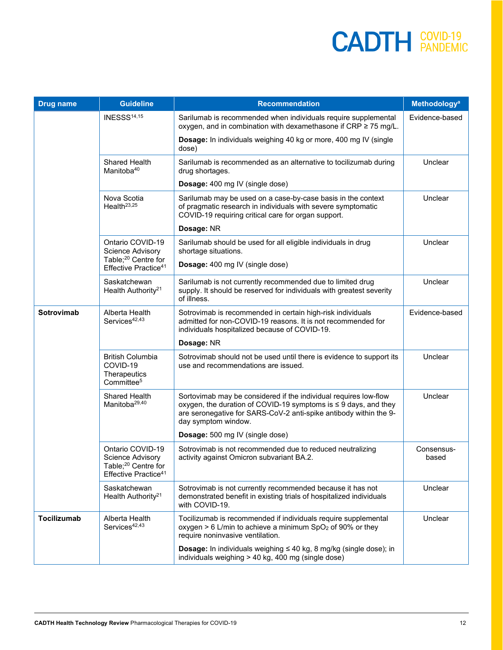| <b>Drug name</b>  | <b>Guideline</b>                                                                                                   | <b>Recommendation</b>                                                                                                                                                                                                                | <b>Methodology<sup>a</sup></b> |
|-------------------|--------------------------------------------------------------------------------------------------------------------|--------------------------------------------------------------------------------------------------------------------------------------------------------------------------------------------------------------------------------------|--------------------------------|
|                   | INESSS <sup>14,15</sup>                                                                                            | Sarilumab is recommended when individuals require supplemental<br>oxygen, and in combination with dexamethasone if CRP ≥ 75 mg/L.                                                                                                    | Evidence-based                 |
|                   |                                                                                                                    | Dosage: In individuals weighing 40 kg or more, 400 mg IV (single<br>dose)                                                                                                                                                            |                                |
|                   | Shared Health<br>Manitoba <sup>40</sup>                                                                            | Sarilumab is recommended as an alternative to tocilizumab during<br>drug shortages.                                                                                                                                                  | Unclear                        |
|                   |                                                                                                                    | <b>Dosage:</b> 400 mg IV (single dose)                                                                                                                                                                                               |                                |
|                   | Nova Scotia<br>Health <sup>23,25</sup>                                                                             | Sarilumab may be used on a case-by-case basis in the context<br>of pragmatic research in individuals with severe symptomatic<br>COVID-19 requiring critical care for organ support.                                                  | Unclear                        |
|                   |                                                                                                                    | Dosage: NR                                                                                                                                                                                                                           |                                |
|                   | Ontario COVID-19<br>Science Advisory                                                                               | Sarilumab should be used for all eligible individuals in drug<br>shortage situations.                                                                                                                                                | Unclear                        |
|                   | Table; <sup>20</sup> Centre for<br>Effective Practice <sup>41</sup>                                                | Dosage: 400 mg IV (single dose)                                                                                                                                                                                                      |                                |
|                   | Saskatchewan<br>Health Authority <sup>21</sup>                                                                     | Sarilumab is not currently recommended due to limited drug<br>supply. It should be reserved for individuals with greatest severity<br>of illness.                                                                                    | Unclear                        |
| <b>Sotrovimab</b> | Alberta Health<br>Services <sup>42,43</sup>                                                                        | Sotrovimab is recommended in certain high-risk individuals<br>admitted for non-COVID-19 reasons. It is not recommended for<br>individuals hospitalized because of COVID-19.                                                          | Evidence-based                 |
|                   |                                                                                                                    | Dosage: NR                                                                                                                                                                                                                           |                                |
|                   | <b>British Columbia</b><br>COVID-19<br>Therapeutics<br>Committee <sup>5</sup>                                      | Sotrovimab should not be used until there is evidence to support its<br>use and recommendations are issued.                                                                                                                          | Unclear                        |
|                   | Shared Health<br>Manitoba <sup>29,40</sup>                                                                         | Sortovimab may be considered if the individual requires low-flow<br>oxygen, the duration of COVID-19 symptoms is $\leq$ 9 days, and they<br>are seronegative for SARS-CoV-2 anti-spike antibody within the 9-<br>day symptom window. | Unclear                        |
|                   |                                                                                                                    | Dosage: 500 mg IV (single dose)                                                                                                                                                                                                      |                                |
|                   | Ontario COVID-19<br><b>Science Advisory</b><br>Table; <sup>20</sup> Centre for<br>Effective Practice <sup>41</sup> | Sotrovimab is not recommended due to reduced neutralizing<br>activity against Omicron subvariant BA.2.                                                                                                                               | Consensus-<br>based            |
|                   | Saskatchewan<br>Health Authority <sup>21</sup>                                                                     | Sotrovimab is not currently recommended because it has not<br>demonstrated benefit in existing trials of hospitalized individuals<br>with COVID-19.                                                                                  | Unclear                        |
| Tocilizumab       | Alberta Health<br>Services <sup>42,43</sup>                                                                        | Tocilizumab is recommended if individuals require supplemental<br>oxygen $> 6$ L/min to achieve a minimum SpO <sub>2</sub> of 90% or they<br>require noninvasive ventilation.                                                        | Unclear                        |
|                   |                                                                                                                    | <b>Dosage:</b> In individuals weighing $\leq 40$ kg, 8 mg/kg (single dose); in<br>individuals weighing > 40 kg, 400 mg (single dose)                                                                                                 |                                |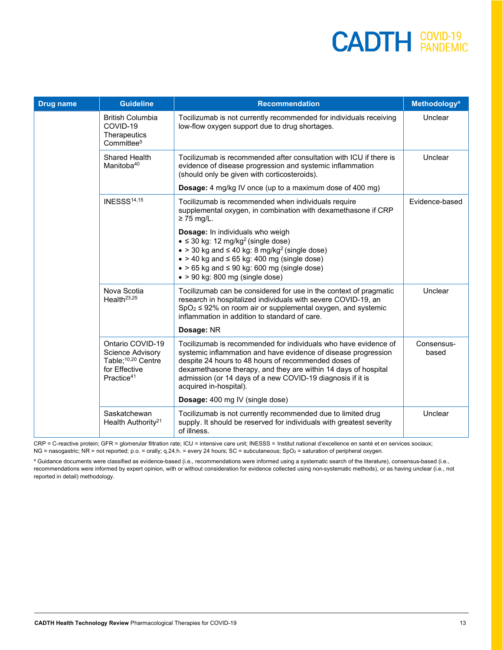| <b>Drug name</b> | <b>Guideline</b>                                                                                                         | <b>Recommendation</b>                                                                                                                                                                                                                                                                                                                               | <b>Methodology<sup>a</sup></b> |
|------------------|--------------------------------------------------------------------------------------------------------------------------|-----------------------------------------------------------------------------------------------------------------------------------------------------------------------------------------------------------------------------------------------------------------------------------------------------------------------------------------------------|--------------------------------|
|                  | <b>British Columbia</b><br>COVID-19<br>Therapeutics<br>Committee <sup>5</sup>                                            | Tocilizumab is not currently recommended for individuals receiving<br>low-flow oxygen support due to drug shortages.                                                                                                                                                                                                                                | Unclear                        |
|                  | Shared Health<br>Manitoba <sup>40</sup>                                                                                  | Tocilizumab is recommended after consultation with ICU if there is<br>evidence of disease progression and systemic inflammation<br>(should only be given with corticosteroids).                                                                                                                                                                     | Unclear                        |
|                  |                                                                                                                          | <b>Dosage:</b> 4 mg/kg IV once (up to a maximum dose of 400 mg)                                                                                                                                                                                                                                                                                     |                                |
|                  | <b>INESSS<sup>14,15</sup></b>                                                                                            | Tocilizumab is recommended when individuals require<br>supplemental oxygen, in combination with dexamethasone if CRP<br>$\geq$ 75 mg/L.                                                                                                                                                                                                             | Evidence-based                 |
|                  |                                                                                                                          | Dosage: In individuals who weigh<br>$\bullet \leq 30$ kg: 12 mg/kg <sup>2</sup> (single dose)<br>$\bullet$ > 30 kg and $\leq$ 40 kg: 8 mg/kg <sup>2</sup> (single dose)<br>$\bullet$ > 40 kg and $\leq$ 65 kg: 400 mg (single dose)<br>$\bullet$ > 65 kg and $\leq$ 90 kg: 600 mg (single dose)<br>$\bullet$ > 90 kg: 800 mg (single dose)          |                                |
|                  | Nova Scotia<br>Health <sup>23,25</sup>                                                                                   | Tocilizumab can be considered for use in the context of pragmatic<br>research in hospitalized individuals with severe COVID-19, an<br>$SpO2 \le 92\%$ on room air or supplemental oxygen, and systemic<br>inflammation in addition to standard of care.                                                                                             | Unclear                        |
|                  |                                                                                                                          | Dosage: NR                                                                                                                                                                                                                                                                                                                                          |                                |
|                  | Ontario COVID-19<br><b>Science Advisory</b><br>Table; <sup>10,20</sup> Centre<br>for Effective<br>Practice <sup>41</sup> | Tocilizumab is recommended for individuals who have evidence of<br>systemic inflammation and have evidence of disease progression<br>despite 24 hours to 48 hours of recommended doses of<br>dexamethasone therapy, and they are within 14 days of hospital<br>admission (or 14 days of a new COVID-19 diagnosis if it is<br>acquired in-hospital). | Consensus-<br>based            |
|                  |                                                                                                                          | <b>Dosage:</b> 400 mg IV (single dose)                                                                                                                                                                                                                                                                                                              |                                |
|                  | Saskatchewan<br>Health Authority <sup>21</sup>                                                                           | Tocilizumab is not currently recommended due to limited drug<br>supply. It should be reserved for individuals with greatest severity<br>of illness.                                                                                                                                                                                                 | Unclear                        |

CRP = C-reactive protein; GFR = glomerular filtration rate; ICU = intensive care unit; INESSS = Institut national d'excellence en santé et en services sociaux; NG = nasogastric; NR = not reported; p.o. = orally; q.24.h. = every 24 hours; SC = subcutaneous; SpO<sub>2</sub> = saturation of peripheral oxygen.

a Guidance documents were classified as evidence-based (i.e., recommendations were informed using a systematic search of the literature), consensus-based (i.e., recommendations were informed by expert opinion, with or without consideration for evidence collected using non-systematic methods), or as having unclear (i.e., not reported in detail) methodology.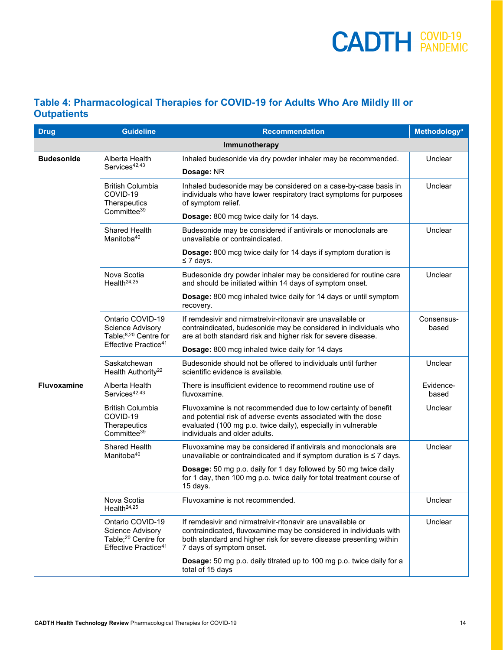#### <span id="page-13-0"></span>**Table 4: Pharmacological Therapies for COVID-19 for Adults Who Are Mildly Ill or Outpatients**

| <b>Drug</b>        | <b>Guideline</b>                                                                                                     | <b>Recommendation</b>                                                                                                                                                                                                                                            | <b>Methodology<sup>a</sup></b> |
|--------------------|----------------------------------------------------------------------------------------------------------------------|------------------------------------------------------------------------------------------------------------------------------------------------------------------------------------------------------------------------------------------------------------------|--------------------------------|
|                    |                                                                                                                      | Immunotherapy                                                                                                                                                                                                                                                    |                                |
| <b>Budesonide</b>  | Alberta Health<br>Services <sup>42,43</sup>                                                                          | Inhaled budesonide via dry powder inhaler may be recommended.<br>Dosage: NR                                                                                                                                                                                      | Unclear                        |
|                    | <b>British Columbia</b><br>COVID-19<br>Therapeutics<br>Committee <sup>39</sup>                                       | Inhaled budesonide may be considered on a case-by-case basis in<br>individuals who have lower respiratory tract symptoms for purposes<br>of symptom relief.<br>Dosage: 800 mcg twice daily for 14 days.                                                          | Unclear                        |
|                    | <b>Shared Health</b><br>Manitoba <sup>40</sup>                                                                       | Budesonide may be considered if antivirals or monoclonals are<br>unavailable or contraindicated.<br>Dosage: 800 mcg twice daily for 14 days if symptom duration is                                                                                               | Unclear                        |
|                    | Nova Scotia<br>Health <sup>24,25</sup>                                                                               | $\leq 7$ days.<br>Budesonide dry powder inhaler may be considered for routine care<br>and should be initiated within 14 days of symptom onset.<br>Dosage: 800 mcg inhaled twice daily for 14 days or until symptom                                               | Unclear                        |
|                    | Ontario COVID-19<br><b>Science Advisory</b><br>Table; <sup>8,20</sup> Centre for<br>Effective Practice <sup>41</sup> | recovery.<br>If remdesivir and nirmatrelyir-ritonavir are unavailable or<br>contraindicated, budesonide may be considered in individuals who<br>are at both standard risk and higher risk for severe disease.<br>Dosage: 800 mcg inhaled twice daily for 14 days | Consensus-<br>based            |
|                    | Saskatchewan<br>Health Authority <sup>22</sup>                                                                       | Budesonide should not be offered to individuals until further<br>scientific evidence is available.                                                                                                                                                               | Unclear                        |
| <b>Fluvoxamine</b> | Alberta Health<br>Services <sup>42,43</sup>                                                                          | There is insufficient evidence to recommend routine use of<br>fluvoxamine.                                                                                                                                                                                       | Evidence-<br>based             |
|                    | <b>British Columbia</b><br>COVID-19<br>Therapeutics<br>Committee <sup>39</sup>                                       | Fluvoxamine is not recommended due to low certainty of benefit<br>and potential risk of adverse events associated with the dose<br>evaluated (100 mg p.o. twice daily), especially in vulnerable<br>individuals and older adults.                                | Unclear                        |
|                    | Shared Health<br>Manitoba <sup>40</sup>                                                                              | Fluvoxamine may be considered if antivirals and monoclonals are<br>unavailable or contraindicated and if symptom duration is $\leq 7$ days.                                                                                                                      | Unclear                        |
|                    |                                                                                                                      | Dosage: 50 mg p.o. daily for 1 day followed by 50 mg twice daily<br>for 1 day, then 100 mg p.o. twice daily for total treatment course of<br>15 days.                                                                                                            |                                |
|                    | Nova Scotia<br>Health <sup>24,25</sup>                                                                               | Fluvoxamine is not recommended.                                                                                                                                                                                                                                  | Unclear                        |
|                    | Ontario COVID-19<br>Science Advisory<br>Table; <sup>20</sup> Centre for<br>Effective Practice <sup>41</sup>          | If remdesivir and nirmatrelvir-ritonavir are unavailable or<br>contraindicated, fluvoxamine may be considered in individuals with<br>both standard and higher risk for severe disease presenting within<br>7 days of symptom onset.                              | Unclear                        |
|                    |                                                                                                                      | Dosage: 50 mg p.o. daily titrated up to 100 mg p.o. twice daily for a<br>total of 15 days                                                                                                                                                                        |                                |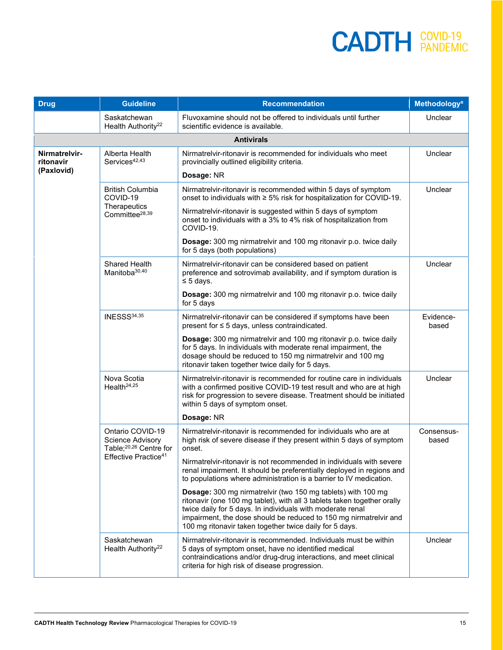| <b>Drug</b>                              | <b>Guideline</b>                                                                  | <b>Recommendation</b>                                                                                                                                                                                                                                                                                                                 | Methodology <sup>a</sup> |
|------------------------------------------|-----------------------------------------------------------------------------------|---------------------------------------------------------------------------------------------------------------------------------------------------------------------------------------------------------------------------------------------------------------------------------------------------------------------------------------|--------------------------|
|                                          | Saskatchewan<br>Health Authority <sup>22</sup>                                    | Fluvoxamine should not be offered to individuals until further<br>scientific evidence is available.                                                                                                                                                                                                                                   | Unclear                  |
|                                          |                                                                                   | <b>Antivirals</b>                                                                                                                                                                                                                                                                                                                     |                          |
| Nirmatrelvir-<br>ritonavir<br>(Paxlovid) | Alberta Health<br>Services <sup>42,43</sup>                                       | Nirmatrelvir-ritonavir is recommended for individuals who meet<br>provincially outlined eligibility criteria.                                                                                                                                                                                                                         | Unclear                  |
|                                          |                                                                                   | Dosage: NR                                                                                                                                                                                                                                                                                                                            |                          |
|                                          | <b>British Columbia</b><br>COVID-19                                               | Nirmatrelvir-ritonavir is recommended within 5 days of symptom<br>onset to individuals with ≥ 5% risk for hospitalization for COVID-19.                                                                                                                                                                                               | Unclear                  |
|                                          | Therapeutics<br>Committee <sup>28,39</sup>                                        | Nirmatrelvir-ritonavir is suggested within 5 days of symptom<br>onset to individuals with a 3% to 4% risk of hospitalization from<br>COVID-19.                                                                                                                                                                                        |                          |
|                                          |                                                                                   | Dosage: 300 mg nirmatrelvir and 100 mg ritonavir p.o. twice daily<br>for 5 days (both populations)                                                                                                                                                                                                                                    |                          |
|                                          | Shared Health<br>Manitoba <sup>30,40</sup>                                        | Nirmatrelvir-ritonavir can be considered based on patient<br>preference and sotrovimab availability, and if symptom duration is<br>$\leq$ 5 days.                                                                                                                                                                                     | Unclear                  |
|                                          |                                                                                   | Dosage: 300 mg nirmatrelvir and 100 mg ritonavir p.o. twice daily<br>for 5 days                                                                                                                                                                                                                                                       |                          |
|                                          | INESSS34,35                                                                       | Nirmatrelvir-ritonavir can be considered if symptoms have been<br>present for ≤ 5 days, unless contraindicated.                                                                                                                                                                                                                       | Evidence-<br>based       |
|                                          |                                                                                   | Dosage: 300 mg nirmatrelvir and 100 mg ritonavir p.o. twice daily<br>for 5 days. In individuals with moderate renal impairment, the<br>dosage should be reduced to 150 mg nirmatrelvir and 100 mg<br>ritonavir taken together twice daily for 5 days.                                                                                 |                          |
|                                          | Nova Scotia<br>Health <sup>24,25</sup>                                            | Nirmatrelvir-ritonavir is recommended for routine care in individuals<br>with a confirmed positive COVID-19 test result and who are at high<br>risk for progression to severe disease. Treatment should be initiated<br>within 5 days of symptom onset.                                                                               | Unclear                  |
|                                          |                                                                                   | Dosage: NR                                                                                                                                                                                                                                                                                                                            |                          |
|                                          | Ontario COVID-19<br><b>Science Advisory</b><br>Table; <sup>20,26</sup> Centre for | Nirmatrelvir-ritonavir is recommended for individuals who are at<br>high risk of severe disease if they present within 5 days of symptom<br>onset.                                                                                                                                                                                    | Consensus-<br>based      |
|                                          | Effective Practice <sup>41</sup>                                                  | Nirmatrelvir-ritonavir is not recommended in individuals with severe<br>renal impairment. It should be preferentially deployed in regions and<br>to populations where administration is a barrier to IV medication.                                                                                                                   |                          |
|                                          |                                                                                   | Dosage: 300 mg nirmatrelvir (two 150 mg tablets) with 100 mg<br>ritonavir (one 100 mg tablet), with all 3 tablets taken together orally<br>twice daily for 5 days. In individuals with moderate renal<br>impairment, the dose should be reduced to 150 mg nirmatrelvir and<br>100 mg ritonavir taken together twice daily for 5 days. |                          |
|                                          | Saskatchewan<br>Health Authority <sup>22</sup>                                    | Nirmatrelvir-ritonavir is recommended. Individuals must be within<br>5 days of symptom onset, have no identified medical<br>contraindications and/or drug-drug interactions, and meet clinical<br>criteria for high risk of disease progression.                                                                                      | Unclear                  |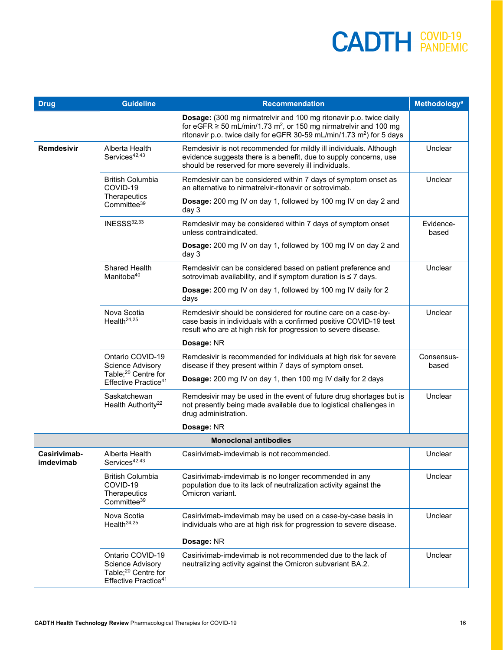| <b>Drug</b>               | <b>Guideline</b>                                                                                            | <b>Recommendation</b>                                                                                                                                                                                                                       | <b>Methodology<sup>a</sup></b> |
|---------------------------|-------------------------------------------------------------------------------------------------------------|---------------------------------------------------------------------------------------------------------------------------------------------------------------------------------------------------------------------------------------------|--------------------------------|
|                           |                                                                                                             | Dosage: (300 mg nirmatrelvir and 100 mg ritonavir p.o. twice daily<br>for eGFR $\ge$ 50 mL/min/1.73 m <sup>2</sup> , or 150 mg nirmatrelvir and 100 mg<br>ritonavir p.o. twice daily for eGFR 30-59 mL/min/1.73 m <sup>2</sup> ) for 5 days |                                |
| Remdesivir                | Alberta Health<br>Services <sup>42,43</sup>                                                                 | Remdesivir is not recommended for mildly ill individuals. Although<br>evidence suggests there is a benefit, due to supply concerns, use<br>should be reserved for more severely ill individuals.                                            | Unclear                        |
|                           | <b>British Columbia</b><br>COVID-19                                                                         | Remdesivir can be considered within 7 days of symptom onset as<br>an alternative to nirmatrelvir-ritonavir or sotrovimab.                                                                                                                   | Unclear                        |
|                           | Therapeutics<br>Committee <sup>39</sup>                                                                     | Dosage: 200 mg IV on day 1, followed by 100 mg IV on day 2 and<br>day 3                                                                                                                                                                     |                                |
|                           | INESSS32,33                                                                                                 | Remdesivir may be considered within 7 days of symptom onset<br>unless contraindicated.                                                                                                                                                      | Evidence-<br>based             |
|                           |                                                                                                             | Dosage: 200 mg IV on day 1, followed by 100 mg IV on day 2 and<br>day 3                                                                                                                                                                     |                                |
|                           | Shared Health<br>Manitoba <sup>40</sup>                                                                     | Remdesivir can be considered based on patient preference and<br>sotrovimab availability, and if symptom duration is ≤ 7 days.                                                                                                               | Unclear                        |
|                           |                                                                                                             | Dosage: 200 mg IV on day 1, followed by 100 mg IV daily for 2<br>days                                                                                                                                                                       |                                |
|                           | Nova Scotia<br>Health <sup>24,25</sup>                                                                      | Remdesivir should be considered for routine care on a case-by-<br>case basis in individuals with a confirmed positive COVID-19 test<br>result who are at high risk for progression to severe disease.                                       | Unclear                        |
|                           |                                                                                                             | Dosage: NR                                                                                                                                                                                                                                  |                                |
|                           | Ontario COVID-19<br>Science Advisory<br>Table; <sup>20</sup> Centre for                                     | Remdesivir is recommended for individuals at high risk for severe<br>disease if they present within 7 days of symptom onset.<br>Dosage: 200 mg IV on day 1, then 100 mg IV daily for 2 days                                                 | Consensus-<br>based            |
|                           | Effective Practice <sup>41</sup>                                                                            |                                                                                                                                                                                                                                             |                                |
|                           | Saskatchewan<br>Health Authority <sup>22</sup>                                                              | Remdesivir may be used in the event of future drug shortages but is<br>not presently being made available due to logistical challenges in<br>drug administration.                                                                           | Unclear                        |
|                           |                                                                                                             | Dosage: NR                                                                                                                                                                                                                                  |                                |
|                           |                                                                                                             | <b>Monoclonal antibodies</b>                                                                                                                                                                                                                |                                |
| Casirivimab-<br>imdevimab | Alberta Health<br>Services <sup>42,43</sup>                                                                 | Casirivimab-imdevimab is not recommended.                                                                                                                                                                                                   | Unclear                        |
|                           | <b>British Columbia</b><br>COVID-19<br>Therapeutics<br>Committee <sup>39</sup>                              | Casirivimab-imdevimab is no longer recommended in any<br>population due to its lack of neutralization activity against the<br>Omicron variant.                                                                                              | Unclear                        |
|                           | Nova Scotia<br>Health <sup>24,25</sup>                                                                      | Casirivimab-imdevimab may be used on a case-by-case basis in<br>individuals who are at high risk for progression to severe disease.                                                                                                         | Unclear                        |
|                           |                                                                                                             | Dosage: NR                                                                                                                                                                                                                                  |                                |
|                           | Ontario COVID-19<br>Science Advisory<br>Table; <sup>20</sup> Centre for<br>Effective Practice <sup>41</sup> | Casirivimab-imdevimab is not recommended due to the lack of<br>neutralizing activity against the Omicron subvariant BA.2.                                                                                                                   | Unclear                        |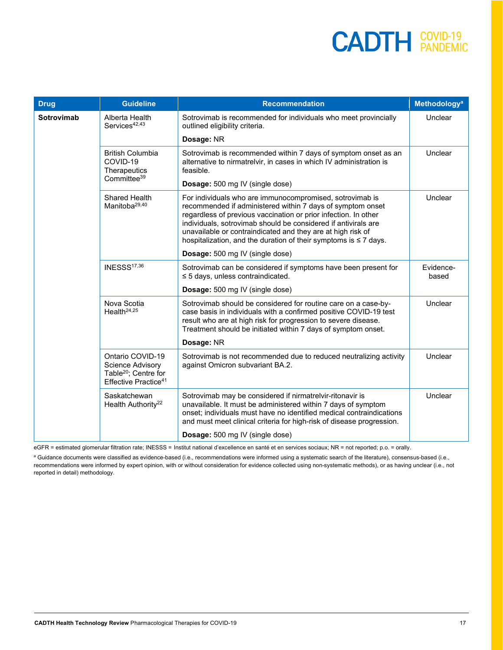| <b>Drug</b>       | <b>Guideline</b>                                                                                             | <b>Recommendation</b>                                                                                                                                                                                                                                                                                                                                                                               | Methodology <sup>a</sup> |
|-------------------|--------------------------------------------------------------------------------------------------------------|-----------------------------------------------------------------------------------------------------------------------------------------------------------------------------------------------------------------------------------------------------------------------------------------------------------------------------------------------------------------------------------------------------|--------------------------|
| <b>Sotrovimab</b> | Alberta Health<br>Services <sup>42,43</sup>                                                                  | Sotrovimab is recommended for individuals who meet provincially<br>outlined eligibility criteria.                                                                                                                                                                                                                                                                                                   | Unclear                  |
|                   |                                                                                                              | Dosage: NR                                                                                                                                                                                                                                                                                                                                                                                          |                          |
|                   | <b>British Columbia</b><br>COVID-19<br>Therapeutics                                                          | Sotrovimab is recommended within 7 days of symptom onset as an<br>alternative to nirmatrelvir, in cases in which IV administration is<br>feasible.                                                                                                                                                                                                                                                  | Unclear                  |
|                   | Committee <sup>39</sup>                                                                                      | Dosage: 500 mg IV (single dose)                                                                                                                                                                                                                                                                                                                                                                     |                          |
|                   | <b>Shared Health</b><br>Manitoba <sup>29,40</sup>                                                            | For individuals who are immunocompromised, sotrovimab is<br>recommended if administered within 7 days of symptom onset<br>regardless of previous vaccination or prior infection. In other<br>individuals, sotrovimab should be considered if antivirals are<br>unavailable or contraindicated and they are at high risk of<br>hospitalization, and the duration of their symptoms is $\leq 7$ days. | Unclear                  |
|                   |                                                                                                              | Dosage: 500 mg IV (single dose)                                                                                                                                                                                                                                                                                                                                                                     |                          |
|                   | INESSS <sup>17,36</sup>                                                                                      | Sotrovimab can be considered if symptoms have been present for<br>$\leq$ 5 days, unless contraindicated.                                                                                                                                                                                                                                                                                            | Evidence-<br>based       |
|                   |                                                                                                              | Dosage: 500 mg IV (single dose)                                                                                                                                                                                                                                                                                                                                                                     |                          |
|                   | Nova Scotia<br>Health $24,25$                                                                                | Sotrovimab should be considered for routine care on a case-by-<br>case basis in individuals with a confirmed positive COVID-19 test<br>result who are at high risk for progression to severe disease.<br>Treatment should be initiated within 7 days of symptom onset.                                                                                                                              | Unclear                  |
|                   |                                                                                                              | Dosage: NR                                                                                                                                                                                                                                                                                                                                                                                          |                          |
|                   | Ontario COVID-19<br>Science Advisory<br>Table <sup>20</sup> ; Centre for<br>Effective Practice <sup>41</sup> | Sotrovimab is not recommended due to reduced neutralizing activity<br>against Omicron subvariant BA.2.                                                                                                                                                                                                                                                                                              | Unclear                  |
|                   | Saskatchewan<br>Health Authority <sup>22</sup>                                                               | Sotrovimab may be considered if nirmatrelvir-ritonavir is<br>unavailable. It must be administered within 7 days of symptom<br>onset; individuals must have no identified medical contraindications<br>and must meet clinical criteria for high-risk of disease progression.                                                                                                                         | Unclear                  |
|                   |                                                                                                              | Dosage: 500 mg IV (single dose)                                                                                                                                                                                                                                                                                                                                                                     |                          |

eGFR = estimated glomerular filtration rate; INESSS = Institut national d'excellence en santé et en services sociaux; NR = not reported; p.o. = orally.

a Guidance documents were classified as evidence-based (i.e., recommendations were informed using a systematic search of the literature), consensus-based (i.e., recommendations were informed by expert opinion, with or without consideration for evidence collected using non-systematic methods), or as having unclear (i.e., not reported in detail) methodology.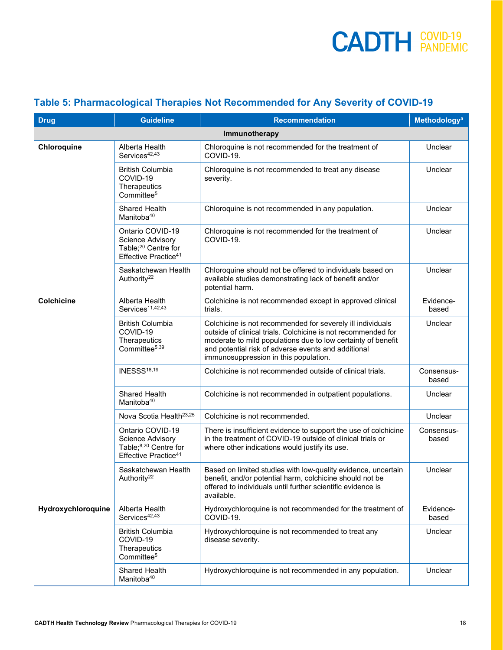| <b>Drug</b>        | <b>Guideline</b>                                                                                              | <b>Recommendation</b>                                                                                                                                                                                                                                                                       | Methodology <sup>a</sup> |  |  |
|--------------------|---------------------------------------------------------------------------------------------------------------|---------------------------------------------------------------------------------------------------------------------------------------------------------------------------------------------------------------------------------------------------------------------------------------------|--------------------------|--|--|
| Immunotherapy      |                                                                                                               |                                                                                                                                                                                                                                                                                             |                          |  |  |
| Chloroquine        | Alberta Health<br>Services <sup>42,43</sup>                                                                   | Chloroquine is not recommended for the treatment of<br>COVID-19.                                                                                                                                                                                                                            | Unclear                  |  |  |
|                    | <b>British Columbia</b><br>COVID-19<br>Therapeutics<br>Committee <sup>5</sup>                                 | Chloroquine is not recommended to treat any disease<br>severity.                                                                                                                                                                                                                            | Unclear                  |  |  |
|                    | <b>Shared Health</b><br>Manitoba <sup>40</sup>                                                                | Chloroquine is not recommended in any population.                                                                                                                                                                                                                                           | Unclear                  |  |  |
|                    | Ontario COVID-19<br>Science Advisory<br>Table; <sup>20</sup> Centre for<br>Effective Practice <sup>41</sup>   | Chloroquine is not recommended for the treatment of<br>COVID-19.                                                                                                                                                                                                                            | Unclear                  |  |  |
|                    | Saskatchewan Health<br>Authority <sup>22</sup>                                                                | Chloroquine should not be offered to individuals based on<br>available studies demonstrating lack of benefit and/or<br>potential harm.                                                                                                                                                      | Unclear                  |  |  |
| <b>Colchicine</b>  | Alberta Health<br>Services <sup>11,42,43</sup>                                                                | Colchicine is not recommended except in approved clinical<br>trials.                                                                                                                                                                                                                        | Evidence-<br>based       |  |  |
|                    | <b>British Columbia</b><br>COVID-19<br>Therapeutics<br>Committee <sup>5,39</sup>                              | Colchicine is not recommended for severely ill individuals<br>outside of clinical trials. Colchicine is not recommended for<br>moderate to mild populations due to low certainty of benefit<br>and potential risk of adverse events and additional<br>immunosuppression in this population. | Unclear                  |  |  |
|                    | <b>INESSS18,19</b>                                                                                            | Colchicine is not recommended outside of clinical trials.                                                                                                                                                                                                                                   | Consensus-<br>based      |  |  |
|                    | <b>Shared Health</b><br>Manitoba <sup>40</sup>                                                                | Colchicine is not recommended in outpatient populations.                                                                                                                                                                                                                                    | Unclear                  |  |  |
|                    | Nova Scotia Health <sup>23,25</sup>                                                                           | Colchicine is not recommended.                                                                                                                                                                                                                                                              | Unclear                  |  |  |
|                    | Ontario COVID-19<br>Science Advisory<br>Table; <sup>8,20</sup> Centre for<br>Effective Practice <sup>41</sup> | There is insufficient evidence to support the use of colchicine<br>in the treatment of COVID-19 outside of clinical trials or<br>where other indications would justify its use.                                                                                                             | Consensus-<br>based      |  |  |
|                    | Saskatchewan Health<br>Authority <sup>22</sup>                                                                | Based on limited studies with low-quality evidence, uncertain<br>benefit, and/or potential harm, colchicine should not be<br>offered to individuals until further scientific evidence is<br>available.                                                                                      | Unclear                  |  |  |
| Hydroxychloroquine | Alberta Health<br>Services <sup>42,43</sup>                                                                   | Hydroxychloroquine is not recommended for the treatment of<br>COVID-19.                                                                                                                                                                                                                     | Evidence-<br>based       |  |  |
|                    | <b>British Columbia</b><br>COVID-19<br>Therapeutics<br>Committee <sup>5</sup>                                 | Hydroxychloroquine is not recommended to treat any<br>disease severity.                                                                                                                                                                                                                     | Unclear                  |  |  |
|                    | Shared Health<br>Manitoba <sup>40</sup>                                                                       | Hydroxychloroquine is not recommended in any population.                                                                                                                                                                                                                                    | Unclear                  |  |  |

#### <span id="page-17-0"></span>**Table 5: Pharmacological Therapies Not Recommended for Any Severity of COVID-19**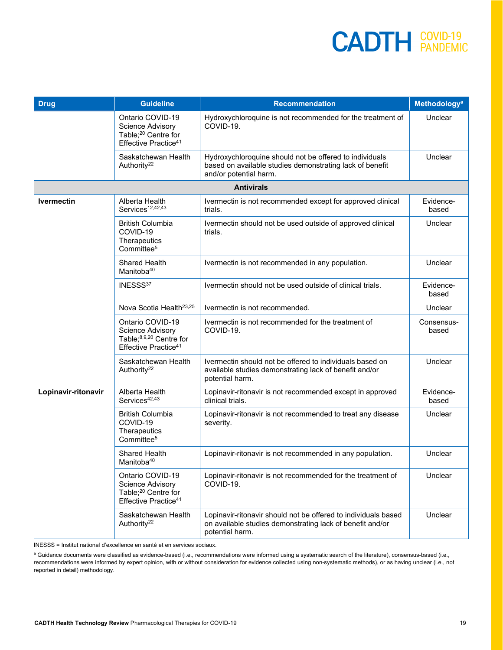| <b>Drug</b>         | <b>Guideline</b>                                                                                                   | <b>Recommendation</b>                                                                                                                          | <b>Methodology<sup>a</sup></b> |  |
|---------------------|--------------------------------------------------------------------------------------------------------------------|------------------------------------------------------------------------------------------------------------------------------------------------|--------------------------------|--|
|                     | Ontario COVID-19<br><b>Science Advisory</b><br>Table; <sup>20</sup> Centre for<br>Effective Practice <sup>41</sup> | Hydroxychloroquine is not recommended for the treatment of<br>COVID-19.                                                                        | Unclear                        |  |
|                     | Saskatchewan Health<br>Authority <sup>22</sup>                                                                     | Hydroxychloroquine should not be offered to individuals<br>based on available studies demonstrating lack of benefit<br>and/or potential harm.  | Unclear                        |  |
| <b>Antivirals</b>   |                                                                                                                    |                                                                                                                                                |                                |  |
| <b>Ivermectin</b>   | Alberta Health<br>Services <sup>12,42,43</sup>                                                                     | Ivermectin is not recommended except for approved clinical<br>trials.                                                                          | Evidence-<br>based             |  |
|                     | <b>British Columbia</b><br>COVID-19<br>Therapeutics<br>Committee <sup>5</sup>                                      | Ivermectin should not be used outside of approved clinical<br>trials.                                                                          | Unclear                        |  |
|                     | Shared Health<br>Manitoba <sup>40</sup>                                                                            | Ivermectin is not recommended in any population.                                                                                               | Unclear                        |  |
|                     | INESSS37                                                                                                           | Ivermectin should not be used outside of clinical trials.                                                                                      | Evidence-<br>based             |  |
|                     | Nova Scotia Health <sup>23,25</sup>                                                                                | Ivermectin is not recommended.                                                                                                                 | Unclear                        |  |
|                     | Ontario COVID-19<br>Science Advisory<br>Table; <sup>8,9,20</sup> Centre for<br>Effective Practice <sup>41</sup>    | Ivermectin is not recommended for the treatment of<br>COVID-19.                                                                                | Consensus-<br>based            |  |
|                     | Saskatchewan Health<br>Authority <sup>22</sup>                                                                     | Ivermectin should not be offered to individuals based on<br>available studies demonstrating lack of benefit and/or<br>potential harm.          | Unclear                        |  |
| Lopinavir-ritonavir | Alberta Health<br>Services <sup>42,43</sup>                                                                        | Lopinavir-ritonavir is not recommended except in approved<br>clinical trials.                                                                  | Evidence-<br>based             |  |
|                     | <b>British Columbia</b><br>COVID-19<br>Therapeutics<br>Committee <sup>5</sup>                                      | Lopinavir-ritonavir is not recommended to treat any disease<br>severity.                                                                       | Unclear                        |  |
|                     | Shared Health<br>Manitoba <sup>40</sup>                                                                            | Lopinavir-ritonavir is not recommended in any population.                                                                                      | Unclear                        |  |
|                     | Ontario COVID-19<br>Science Advisory<br>Table; <sup>20</sup> Centre for<br>Effective Practice <sup>41</sup>        | Lopinavir-ritonavir is not recommended for the treatment of<br>COVID-19.                                                                       | Unclear                        |  |
|                     | Saskatchewan Health<br>Authority <sup>22</sup>                                                                     | Lopinavir-ritonavir should not be offered to individuals based<br>on available studies demonstrating lack of benefit and/or<br>potential harm. | Unclear                        |  |

INESSS = Institut national d'excellence en santé et en services sociaux.

a Guidance documents were classified as evidence-based (i.e., recommendations were informed using a systematic search of the literature), consensus-based (i.e., recommendations were informed by expert opinion, with or without consideration for evidence collected using non-systematic methods), or as having unclear (i.e., not reported in detail) methodology.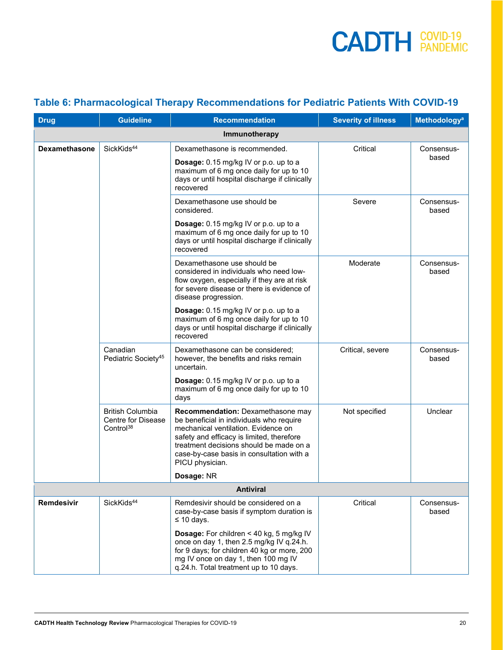#### <span id="page-19-0"></span>**Table 6: Pharmacological Therapy Recommendations for Pediatric Patients With COVID-19**

| <b>Drug</b>          | <b>Guideline</b>                                                              | <b>Recommendation</b>                                                                                                                                                                                                                                                        | <b>Severity of illness</b> | Methodology <sup>a</sup> |
|----------------------|-------------------------------------------------------------------------------|------------------------------------------------------------------------------------------------------------------------------------------------------------------------------------------------------------------------------------------------------------------------------|----------------------------|--------------------------|
| Immunotherapy        |                                                                               |                                                                                                                                                                                                                                                                              |                            |                          |
| <b>Dexamethasone</b> | SickKids <sup>44</sup>                                                        | Dexamethasone is recommended.                                                                                                                                                                                                                                                | Critical                   | Consensus-               |
|                      |                                                                               | Dosage: 0.15 mg/kg IV or p.o. up to a<br>maximum of 6 mg once daily for up to 10<br>days or until hospital discharge if clinically<br>recovered                                                                                                                              |                            | based                    |
|                      |                                                                               | Dexamethasone use should be<br>considered.                                                                                                                                                                                                                                   | Severe                     | Consensus-<br>based      |
|                      |                                                                               | Dosage: 0.15 mg/kg IV or p.o. up to a<br>maximum of 6 mg once daily for up to 10<br>days or until hospital discharge if clinically<br>recovered                                                                                                                              |                            |                          |
|                      |                                                                               | Dexamethasone use should be<br>considered in individuals who need low-<br>flow oxygen, especially if they are at risk<br>for severe disease or there is evidence of<br>disease progression.                                                                                  | Moderate                   | Consensus-<br>based      |
|                      |                                                                               | Dosage: 0.15 mg/kg IV or p.o. up to a<br>maximum of 6 mg once daily for up to 10<br>days or until hospital discharge if clinically<br>recovered                                                                                                                              |                            |                          |
|                      | Canadian<br>Pediatric Society <sup>45</sup>                                   | Dexamethasone can be considered;<br>however, the benefits and risks remain<br>uncertain.                                                                                                                                                                                     | Critical, severe           | Consensus-<br>based      |
|                      |                                                                               | Dosage: 0.15 mg/kg IV or p.o. up to a<br>maximum of 6 mg once daily for up to 10<br>days                                                                                                                                                                                     |                            |                          |
|                      | <b>British Columbia</b><br><b>Centre for Disease</b><br>Control <sup>38</sup> | Recommendation: Dexamethasone may<br>be beneficial in individuals who require<br>mechanical ventilation. Evidence on<br>safety and efficacy is limited, therefore<br>treatment decisions should be made on a<br>case-by-case basis in consultation with a<br>PICU physician. | Not specified              | Unclear                  |
|                      |                                                                               | Dosage: NR                                                                                                                                                                                                                                                                   |                            |                          |
| <b>Antiviral</b>     |                                                                               |                                                                                                                                                                                                                                                                              |                            |                          |
| Remdesivir           | SickKids <sup>44</sup>                                                        | Remdesivir should be considered on a<br>case-by-case basis if symptom duration is<br>$\leq 10$ days.                                                                                                                                                                         | Critical                   | Consensus-<br>based      |
|                      |                                                                               | <b>Dosage:</b> For children < 40 kg, 5 mg/kg IV<br>once on day 1, then 2.5 mg/kg IV q.24.h.<br>for 9 days; for children 40 kg or more, 200<br>mg IV once on day 1, then 100 mg IV<br>q.24.h. Total treatment up to 10 days.                                                  |                            |                          |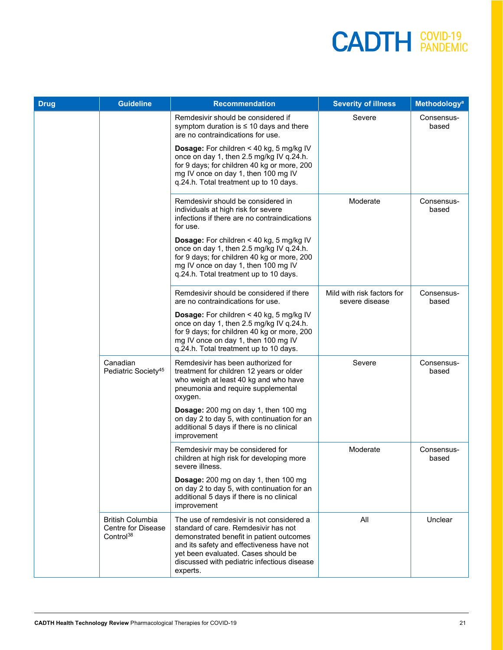| <b>Drug</b> | <b>Guideline</b>                                                              | <b>Recommendation</b>                                                                                                                                                                                                                                                        | <b>Severity of illness</b>                   | <b>Methodology<sup>a</sup></b> |
|-------------|-------------------------------------------------------------------------------|------------------------------------------------------------------------------------------------------------------------------------------------------------------------------------------------------------------------------------------------------------------------------|----------------------------------------------|--------------------------------|
|             |                                                                               | Remdesivir should be considered if<br>symptom duration is $\leq 10$ days and there<br>are no contraindications for use.                                                                                                                                                      | Severe                                       | Consensus-<br>based            |
|             |                                                                               | <b>Dosage:</b> For children < 40 kg, 5 mg/kg IV<br>once on day 1, then 2.5 mg/kg IV q.24.h.<br>for 9 days; for children 40 kg or more, 200<br>mg IV once on day 1, then 100 mg IV<br>q.24.h. Total treatment up to 10 days.                                                  |                                              |                                |
|             |                                                                               | Remdesivir should be considered in<br>individuals at high risk for severe<br>infections if there are no contraindications<br>for use.                                                                                                                                        | Moderate                                     | Consensus-<br>based            |
|             |                                                                               | <b>Dosage:</b> For children < 40 kg, 5 mg/kg IV<br>once on day 1, then 2.5 mg/kg IV q.24.h.<br>for 9 days; for children 40 kg or more, 200<br>mg IV once on day 1, then 100 mg IV<br>q.24.h. Total treatment up to 10 days.                                                  |                                              |                                |
|             |                                                                               | Remdesivir should be considered if there<br>are no contraindications for use.                                                                                                                                                                                                | Mild with risk factors for<br>severe disease | Consensus-<br>based            |
|             |                                                                               | <b>Dosage:</b> For children < 40 kg, 5 mg/kg IV<br>once on day 1, then 2.5 mg/kg IV q.24.h.<br>for 9 days; for children 40 kg or more, 200<br>mg IV once on day 1, then 100 mg IV<br>q.24.h. Total treatment up to 10 days.                                                  |                                              |                                |
|             | Canadian<br>Pediatric Society <sup>45</sup>                                   | Remdesivir has been authorized for<br>treatment for children 12 years or older<br>who weigh at least 40 kg and who have<br>pneumonia and require supplemental<br>oxygen.                                                                                                     | Severe                                       | Consensus-<br>based            |
|             |                                                                               | Dosage: 200 mg on day 1, then 100 mg<br>on day 2 to day 5, with continuation for an<br>additional 5 days if there is no clinical<br>improvement                                                                                                                              |                                              |                                |
|             |                                                                               | Remdesivir may be considered for<br>children at high risk for developing more<br>severe illness.                                                                                                                                                                             | Moderate                                     | Consensus-<br>based            |
|             |                                                                               | Dosage: 200 mg on day 1, then 100 mg<br>on day 2 to day 5, with continuation for an<br>additional 5 days if there is no clinical<br>improvement                                                                                                                              |                                              |                                |
|             | <b>British Columbia</b><br><b>Centre for Disease</b><br>Control <sup>38</sup> | The use of remdesivir is not considered a<br>standard of care. Remdesivir has not<br>demonstrated benefit in patient outcomes<br>and its safety and effectiveness have not<br>yet been evaluated. Cases should be<br>discussed with pediatric infectious disease<br>experts. | All                                          | Unclear                        |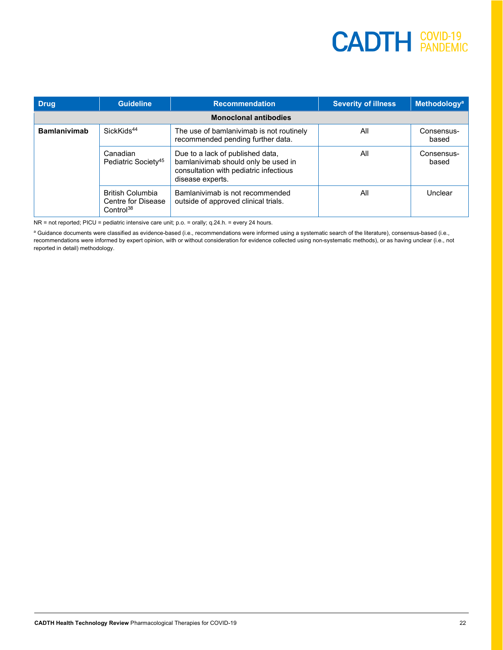| <b>Drug</b>         | <b>Guideline</b>                                                       | <b>Recommendation</b>                                                                                                                 | <b>Severity of illness</b> | Methodology <sup>a</sup> |  |  |
|---------------------|------------------------------------------------------------------------|---------------------------------------------------------------------------------------------------------------------------------------|----------------------------|--------------------------|--|--|
|                     | <b>Monoclonal antibodies</b>                                           |                                                                                                                                       |                            |                          |  |  |
| <b>Bamlanivimab</b> | SickKids <sup>44</sup>                                                 | The use of bamlanivimab is not routinely<br>recommended pending further data.                                                         | All                        | Consensus-<br>based      |  |  |
|                     | Canadian<br>Pediatric Society <sup>45</sup>                            | Due to a lack of published data,<br>bamlanivimab should only be used in<br>consultation with pediatric infectious<br>disease experts. | All                        | Consensus-<br>based      |  |  |
|                     | <b>British Columbia</b><br>Centre for Disease<br>Control <sup>38</sup> | Bamlanivimab is not recommended<br>outside of approved clinical trials.                                                               | All                        | Unclear                  |  |  |

NR = not reported; PICU = pediatric intensive care unit; p.o. = orally; q.24.h. = every 24 hours.

a Guidance documents were classified as evidence-based (i.e., recommendations were informed using a systematic search of the literature), consensus-based (i.e., recommendations were informed by expert opinion, with or without consideration for evidence collected using non-systematic methods), or as having unclear (i.e., not reported in detail) methodology.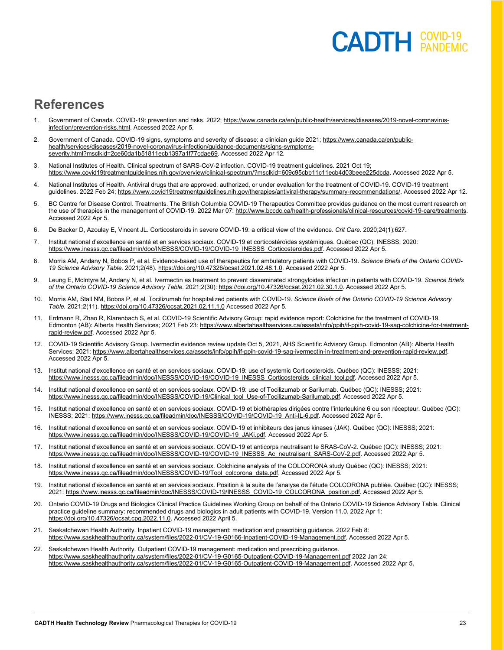### **COVID-19**

### **References**

- 1. Government of Canada. COVID-19: prevention and risks. 2022[; https://www.canada.ca/en/public-health/services/diseases/2019-novel-coronavirus](https://www.canada.ca/en/public-health/services/diseases/2019-novel-coronavirus-infection/prevention-risks.html)[infection/prevention-risks.html.](https://www.canada.ca/en/public-health/services/diseases/2019-novel-coronavirus-infection/prevention-risks.html) Accessed 2022 Apr 5.
- 2. Government of Canada. COVID-19 signs, symptoms and severity of disease: a clinician guide 2021[; https://www.canada.ca/en/public](https://www.canada.ca/en/public-health/services/diseases/2019-novel-coronavirus-infection/guidance-documents/signs-symptoms-severity.html?msclkid=2ce60da1b51811ecb1397a1f77cdae69)[health/services/diseases/2019-novel-coronavirus-infection/guidance-documents/signs-symptoms](https://www.canada.ca/en/public-health/services/diseases/2019-novel-coronavirus-infection/guidance-documents/signs-symptoms-severity.html?msclkid=2ce60da1b51811ecb1397a1f77cdae69)[severity.html?msclkid=2ce60da1b51811ecb1397a1f77cdae69.](https://www.canada.ca/en/public-health/services/diseases/2019-novel-coronavirus-infection/guidance-documents/signs-symptoms-severity.html?msclkid=2ce60da1b51811ecb1397a1f77cdae69) Accessed 2022 Apr 12.
- 3. National Institutes of Health. Clinical spectrum of SARS-CoV-2 infection. COVID-19 treatment guidelines. 2021 Oct 19; [https://www.covid19treatmentguidelines.nih.gov/overview/clinical-spectrum/?msclkid=609c95cbb11c11ecb4d03beee225dcda.](https://www.covid19treatmentguidelines.nih.gov/overview/clinical-spectrum/?msclkid=609c95cbb11c11ecb4d03beee225dcda) Accessed 2022 Apr 5.
- 4. National Institutes of Health. Antiviral drugs that are approved, authorized, or under evaluation for the treatment of COVID-19. COVID-19 treatment guidelines. 2022 Feb 24[; https://www.covid19treatmentguidelines.nih.gov/therapies/antiviral-therapy/summary-recommendations/.](https://www.covid19treatmentguidelines.nih.gov/therapies/antiviral-therapy/summary-recommendations/) Accessed 2022 Apr 12.
- 5. BC Centre for Disease Control. Treatments. The British Columbia COVID-19 Therapeutics Committee provides guidance on the most current research on the use of therapies in the management of COVID-19. 2022 Mar 07[: http://www.bccdc.ca/health-professionals/clinical-resources/covid-19-care/treatments.](http://www.bccdc.ca/health-professionals/clinical-resources/covid-19-care/treatments)  Accessed 2022 Apr 5.
- 6. De Backer D, Azoulay E, Vincent JL. Corticosteroids in severe COVID-19: a critical view of the evidence. *Crit Care.* 2020;24(1):627.
- 7. Institut national d'excellence en santé et en services sociaux. COVID-19 et corticostéroïdes systémiques. Québec (QC): INESSS; 2020: [https://www.inesss.qc.ca/fileadmin/doc/INESSS/COVID-19/COVID-19\\_INESSS\\_Corticosteroides.pdf.](https://www.inesss.qc.ca/fileadmin/doc/INESSS/COVID-19/COVID-19_INESSS_Corticosteroides.pdf) Accessed 2022 Apr 5.
- 8. Morris AM, Andany N, Bobos P, et al. Evidence-based use of therapeutics for ambulatory patients with COVID-19. *Science Briefs of the Ontario COVID-19 Science Advisory Table*. 2021;2(48)[. https://doi.org/10.47326/ocsat.2021.02.48.1.0.](https://doi.org/10.47326/ocsat.2021.02.48.1.0) Accessed 2022 Apr 5.
- 9. Leung E, McIntyre M, Andany N, et al. Ivermectin as treatment to prevent disseminated strongyloides infection in patients with COVID-19. *Science Briefs of the Ontario COVID-19 Science Advisory Table*. 2021;2(30)[: https://doi.org/10.47326/ocsat.2021.02.30.1.0.](https://doi.org/10.47326/ocsat.2021.02.30.1.0) Accessed 2022 Apr 5.
- 10. Morris AM, Stall NM, Bobos P, et al. Tocilizumab for hospitalized patients with COVID-19. *Science Briefs of the Ontario COVID-19 Science Advisory Table.* 2021;2(11)[. https://doi.org/10.47326/ocsat.2021.02.11.1.0](https://doi.org/10.47326/ocsat.2021.02.11.1.0) Accessed 2022 Apr 5.
- 11. Erdmann R, Zhao R, Klarenbach S, et al. COVID-19 Scientific Advisory Group: rapid evidence report: Colchicine for the treatment of COVID-19. Edmonton (AB): Alberta Health Services; 2021 Feb 23[: https://www.albertahealthservices.ca/assets/info/ppih/if-ppih-covid-19-sag-colchicine-for-treatment](https://www.albertahealthservices.ca/assets/info/ppih/if-ppih-covid-19-sag-colchicine-for-treatment-rapid-review.pdf)[rapid-review.pdf.](https://www.albertahealthservices.ca/assets/info/ppih/if-ppih-covid-19-sag-colchicine-for-treatment-rapid-review.pdf) Accessed 2022 Apr 5.
- 12. COVID-19 Scientific Advisory Group. Ivermectin evidence review update Oct 5, 2021, AHS Scientific Advisory Group. Edmonton (AB): Alberta Health Services; 2021: https://www.albertahealthservices.ca/assets/info/ppih/if-ppih-covid-19-sag-ivermectin-in-treatment-and-prevention-rapid-review.pdf. Accessed 2022 Apr 5.
- 13. Institut national d'excellence en santé et en services sociaux. COVID-19: use of systemic Corticosteroids. Québec (QC): INESSS; 2021: [https://www.inesss.qc.ca/fileadmin/doc/INESSS/COVID-19/COVID-19\\_INESSS\\_Corticosteroids\\_clinical\\_tool.pdf.](https://www.inesss.qc.ca/fileadmin/doc/INESSS/COVID-19/COVID-19_INESSS_Corticosteroids_clinical_tool.pdf) Accessed 2022 Apr 5.
- 14. Institut national d'excellence en santé et en services sociaux. COVID-19: use of Tocilizumab or Sarilumab. Québec (QC): INESSS; 2021: [https://www.inesss.qc.ca/fileadmin/doc/INESSS/COVID-19/Clinical\\_tool\\_Use-of-Tocilizumab-Sarilumab.pdf.](https://www.inesss.qc.ca/fileadmin/doc/INESSS/COVID-19/Clinical_tool_Use-of-Tocilizumab-Sarilumab.pdf) Accessed 2022 Apr 5.
- 15. Institut national d'excellence en santé et en services sociaux. COVID-19 et biothérapies dirigées contre l'interleukine 6 ou son récepteur. Québec (QC): INESSS; 2021[: https://www.inesss.qc.ca/fileadmin/doc/INESSS/COVID-19/COVID-19\\_Anti-IL-6.pdf.](https://www.inesss.qc.ca/fileadmin/doc/INESSS/COVID-19/COVID-19_Anti-IL-6.pdf) Accessed 2022 Apr 5.
- 16. Institut national d'excellence en santé et en services sociaux. COVID-19 et inhibiteurs des janus kinases (JAK). Québec (QC): INESSS; 2021: [https://www.inesss.qc.ca/fileadmin/doc/INESSS/COVID-19/COVID-19\\_JAKi.pdf.](https://www.inesss.qc.ca/fileadmin/doc/INESSS/COVID-19/COVID-19_JAKi.pdf) Accessed 2022 Apr 5.
- 17. Institut national d'excellence en santé et en services sociaux. COVID-19 et anticorps neutralisant le SRAS-CoV-2. Québec (QC): INESSS; 2021: [https://www.inesss.qc.ca/fileadmin/doc/INESSS/COVID-19/COVID-19\\_INESSS\\_Ac\\_neutralisant\\_SARS-CoV-2.pdf.](https://www.inesss.qc.ca/fileadmin/doc/INESSS/COVID-19/COVID-19_INESSS_Ac_neutralisant_SARS-CoV-2.pdf) Accessed 2022 Apr 5.
- 18. Institut national d'excellence en santé et en services sociaux. Colchicine analysis of the COLCORONA study Québec (QC): INESSS; 2021: [https://www.inesss.qc.ca/fileadmin/doc/INESSS/COVID-19/Tool\\_colcorona\\_data.pdf.](https://www.inesss.qc.ca/fileadmin/doc/INESSS/COVID-19/Tool_colcorona_data.pdf) Accessed 2022 Apr 5.
- 19. Institut national d'excellence en santé et en services sociaux. Position à la suite de l'analyse de l'étude COLCORONA publiée. Québec (QC): INESSS; 2021: [https://www.inesss.qc.ca/fileadmin/doc/INESSS/COVID-19/INESSS\\_COVID-19\\_COLCORONA\\_position.pdf.](https://www.inesss.qc.ca/fileadmin/doc/INESSS/COVID-19/INESSS_COVID-19_COLCORONA_position.pdf) Accessed 2022 Apr 5.
- 20. Ontario COVID-19 Drugs and Biologics Clinical Practice Guidelines Working Group on behalf of the Ontario COVID-19 Science Advisory Table. Clinical practice guideline summary: recommended drugs and biologics in adult patients with COVID-19. Version 11.0. 2022 Apr 1: [https://doi.org/10.47326/ocsat.cpg.2022.11.0.](https://doi.org/10.47326/ocsat.cpg.2022.11.0) Accessed 2022 April 5.
- 21. Saskatchewan Health Authority. Inpatient COVID-19 management: medication and prescribing guidance. 2022 Feb 8: [https://www.saskhealthauthority.ca/system/files/2022-01/CV-19-G0166-Inpatient-COVID-19-Management.pdf.](https://www.saskhealthauthority.ca/system/files/2022-01/CV-19-G0166-Inpatient-COVID-19-Management.pdf) Accessed 2022 Apr 5.
- 22. Saskatchewan Health Authority. Outpatient COVID-19 management: medication and prescribing guidance. <https://www.saskhealthauthority.ca/system/files/2022-01/CV-19-G0165-Outpatient-COVID-19-Management.pdf> 2022 Jan 24: [https://www.saskhealthauthority.ca/system/files/2022-01/CV-19-G0165-Outpatient-COVID-19-Management.pdf.](https://www.saskhealthauthority.ca/system/files/2022-01/CV-19-G0165-Outpatient-COVID-19-Management.pdf) Accessed 2022 Apr 5.